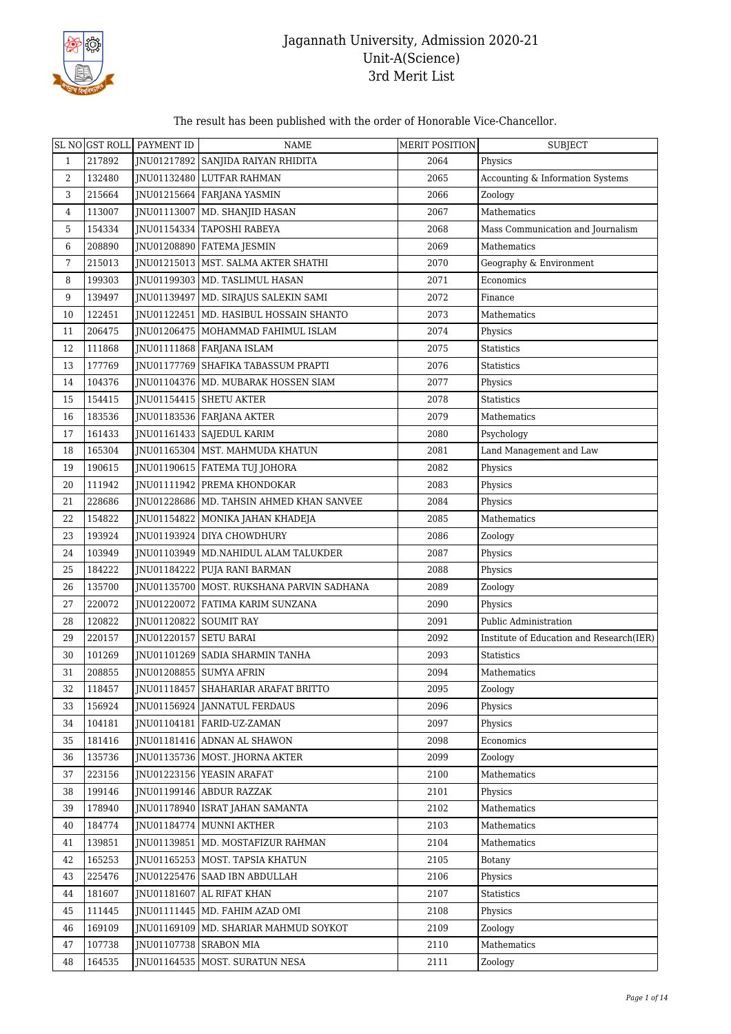

#### The result has been published with the order of Honorable Vice-Chancellor.

|    |        | SL NO GST ROLL PAYMENT ID | <b>NAME</b>                                 | <b>MERIT POSITION</b> | <b>SUBJECT</b>                           |
|----|--------|---------------------------|---------------------------------------------|-----------------------|------------------------------------------|
| 1  | 217892 |                           | JNU01217892 SANJIDA RAIYAN RHIDITA          | 2064                  | Physics                                  |
| 2  | 132480 |                           | JNU01132480 LUTFAR RAHMAN                   | 2065                  | Accounting & Information Systems         |
| 3  | 215664 |                           | JNU01215664   FARJANA YASMIN                | 2066                  | Zoology                                  |
| 4  | 113007 |                           | JNU01113007   MD. SHANJID HASAN             | 2067                  | Mathematics                              |
| 5  | 154334 | JNU01154334               | TAPOSHI RABEYA                              | 2068                  | Mass Communication and Journalism        |
| 6  | 208890 |                           | JNU01208890 FATEMA JESMIN                   | 2069                  | Mathematics                              |
| 7  | 215013 |                           | JNU01215013   MST. SALMA AKTER SHATHI       | 2070                  | Geography & Environment                  |
| 8  | 199303 |                           | JNU01199303   MD. TASLIMUL HASAN            | 2071                  | Economics                                |
| 9  | 139497 |                           | JNU01139497   MD. SIRAJUS SALEKIN SAMI      | 2072                  | Finance                                  |
| 10 | 122451 |                           | INU01122451   MD. HASIBUL HOSSAIN SHANTO    | 2073                  | Mathematics                              |
| 11 | 206475 |                           | JNU01206475   MOHAMMAD FAHIMUL ISLAM        | 2074                  | Physics                                  |
| 12 | 111868 |                           | JNU01111868 FARJANA ISLAM                   | 2075                  | <b>Statistics</b>                        |
| 13 | 177769 |                           | JNU01177769 SHAFIKA TABASSUM PRAPTI         | 2076                  | Statistics                               |
| 14 | 104376 |                           | INU01104376   MD. MUBARAK HOSSEN SIAM       | 2077                  | Physics                                  |
| 15 | 154415 |                           | JNU01154415 SHETU AKTER                     | 2078                  | <b>Statistics</b>                        |
| 16 | 183536 |                           | JNU01183536 FARJANA AKTER                   | 2079                  | Mathematics                              |
| 17 | 161433 |                           | JNU01161433   SAJEDUL KARIM                 | 2080                  | Psychology                               |
| 18 | 165304 |                           | JNU01165304   MST. MAHMUDA KHATUN           | 2081                  | Land Management and Law                  |
| 19 | 190615 |                           | JNU01190615   FATEMA TUJ JOHORA             | 2082                  | Physics                                  |
| 20 | 111942 |                           | JNU01111942 PREMA KHONDOKAR                 | 2083                  | Physics                                  |
| 21 | 228686 |                           | JNU01228686   MD. TAHSIN AHMED KHAN SANVEE  | 2084                  | Physics                                  |
| 22 | 154822 |                           | JNU01154822   MONIKA JAHAN KHADEJA          | 2085                  | Mathematics                              |
| 23 | 193924 |                           | JNU01193924 DIYA CHOWDHURY                  | 2086                  | Zoology                                  |
| 24 | 103949 |                           | JNU01103949   MD.NAHIDUL ALAM TALUKDER      | 2087                  | Physics                                  |
| 25 | 184222 |                           | JNU01184222 PUJA RANI BARMAN                | 2088                  | Physics                                  |
| 26 | 135700 |                           | JNU01135700   MOST. RUKSHANA PARVIN SADHANA | 2089                  | Zoology                                  |
| 27 | 220072 |                           | JNU01220072   FATIMA KARIM SUNZANA          | 2090                  | Physics                                  |
| 28 | 120822 | JNU01120822 SOUMIT RAY    |                                             | 2091                  | Public Administration                    |
| 29 | 220157 | JNU01220157 SETU BARAI    |                                             | 2092                  | Institute of Education and Research(IER) |
| 30 | 101269 |                           | INU01101269 SADIA SHARMIN TANHA             | 2093                  | <b>Statistics</b>                        |
| 31 | 208855 |                           | JNU01208855 SUMYA AFRIN                     | 2094                  | Mathematics                              |
| 32 | 118457 |                           | JNU01118457 SHAHARIAR ARAFAT BRITTO         | 2095                  | Zoology                                  |
| 33 | 156924 |                           | INU01156924   JANNATUL FERDAUS              | 2096                  | Physics                                  |
| 34 | 104181 |                           | JNU01104181 FARID-UZ-ZAMAN                  | 2097                  | Physics                                  |
| 35 | 181416 |                           | JNU01181416 ADNAN AL SHAWON                 | 2098                  | Economics                                |
| 36 | 135736 |                           | JNU01135736   MOST. JHORNA AKTER            | 2099                  | Zoology                                  |
| 37 | 223156 |                           | JNU01223156 YEASIN ARAFAT                   | 2100                  | Mathematics                              |
| 38 | 199146 |                           | JNU01199146 ABDUR RAZZAK                    | 2101                  | Physics                                  |
| 39 | 178940 |                           | JNU01178940   ISRAT JAHAN SAMANTA           | 2102                  | Mathematics                              |
| 40 | 184774 |                           | JNU01184774 MUNNI AKTHER                    | 2103                  | Mathematics                              |
| 41 | 139851 |                           | INU01139851   MD. MOSTAFIZUR RAHMAN         | 2104                  | Mathematics                              |
| 42 | 165253 |                           | JNU01165253   MOST. TAPSIA KHATUN           | 2105                  | Botany                                   |
| 43 | 225476 |                           | JNU01225476   SAAD IBN ABDULLAH             | 2106                  | Physics                                  |
| 44 | 181607 |                           | JNU01181607 AL RIFAT KHAN                   | 2107                  | Statistics                               |
| 45 | 111445 |                           | JNU01111445   MD. FAHIM AZAD OMI            | 2108                  | Physics                                  |
| 46 | 169109 |                           | JNU01169109   MD. SHARIAR MAHMUD SOYKOT     | 2109                  | Zoology                                  |
| 47 | 107738 | JNU01107738 SRABON MIA    |                                             | 2110                  | Mathematics                              |
| 48 | 164535 |                           | JNU01164535   MOST. SURATUN NESA            | 2111                  | Zoology                                  |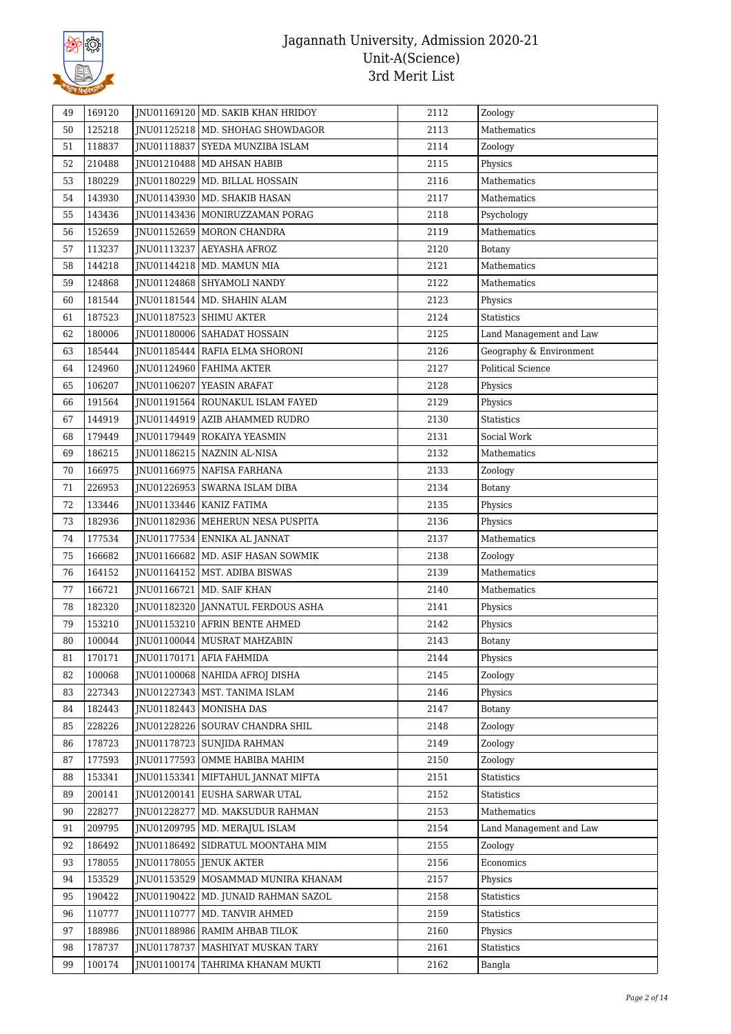

| 49 | 169120 | JNU01169120   MD. SAKIB KHAN HRIDOY   | 2112 | Zoology                  |
|----|--------|---------------------------------------|------|--------------------------|
| 50 | 125218 | JNU01125218   MD. SHOHAG SHOWDAGOR    | 2113 | Mathematics              |
| 51 | 118837 | JNU01118837 SYEDA MUNZIBA ISLAM       | 2114 | Zoology                  |
| 52 | 210488 | JNU01210488   MD AHSAN HABIB          | 2115 | Physics                  |
| 53 | 180229 | JNU01180229   MD. BILLAL HOSSAIN      | 2116 | Mathematics              |
| 54 | 143930 | JNU01143930   MD. SHAKIB HASAN        | 2117 | Mathematics              |
| 55 | 143436 | JNU01143436   MONIRUZZAMAN PORAG      | 2118 | Psychology               |
| 56 | 152659 | JNU01152659 MORON CHANDRA             | 2119 | Mathematics              |
| 57 | 113237 | JNU01113237 AEYASHA AFROZ             | 2120 | <b>Botany</b>            |
| 58 | 144218 | JNU01144218   MD. MAMUN MIA           | 2121 | Mathematics              |
| 59 | 124868 | JNU01124868 SHYAMOLI NANDY            | 2122 | Mathematics              |
| 60 | 181544 | JNU01181544   MD. SHAHIN ALAM         | 2123 | Physics                  |
| 61 | 187523 | JNU01187523   SHIMU AKTER             | 2124 | Statistics               |
| 62 | 180006 | JNU01180006 SAHADAT HOSSAIN           | 2125 | Land Management and Law  |
| 63 | 185444 | JNU01185444 RAFIA ELMA SHORONI        | 2126 | Geography & Environment  |
| 64 | 124960 | INU01124960 FAHIMA AKTER              | 2127 | <b>Political Science</b> |
| 65 | 106207 | JNU01106207 YEASIN ARAFAT             | 2128 | Physics                  |
| 66 | 191564 | JNU01191564 ROUNAKUL ISLAM FAYED      | 2129 | Physics                  |
| 67 | 144919 | JNU01144919   AZIB AHAMMED RUDRO      | 2130 | <b>Statistics</b>        |
| 68 | 179449 | JNU01179449 ROKAIYA YEASMIN           | 2131 | Social Work              |
| 69 | 186215 | JNU01186215 NAZNIN AL-NISA            | 2132 | Mathematics              |
| 70 | 166975 | JNU01166975   NAFISA FARHANA          | 2133 | Zoology                  |
| 71 | 226953 | JNU01226953   SWARNA ISLAM DIBA       | 2134 | Botany                   |
| 72 | 133446 | JNU01133446   KANIZ FATIMA            | 2135 | Physics                  |
| 73 | 182936 | JNU01182936   MEHERUN NESA PUSPITA    | 2136 | Physics                  |
| 74 | 177534 | JNU01177534 ENNIKA AL JANNAT          | 2137 | Mathematics              |
| 75 | 166682 | JNU01166682   MD. ASIF HASAN SOWMIK   | 2138 | Zoology                  |
| 76 | 164152 | JNU01164152   MST. ADIBA BISWAS       | 2139 | Mathematics              |
| 77 | 166721 | JNU01166721   MD. SAIF KHAN           | 2140 | Mathematics              |
| 78 | 182320 | JNU01182320 JANNATUL FERDOUS ASHA     | 2141 | Physics                  |
| 79 | 153210 | JNU01153210 AFRIN BENTE AHMED         | 2142 | Physics                  |
| 80 | 100044 | JNU01100044   MUSRAT MAHZABIN         | 2143 | Botany                   |
| 81 | 170171 | JNU01170171   AFIA FAHMIDA            | 2144 | Physics                  |
| 82 | 100068 | JNU01100068 NAHIDA AFROJ DISHA        | 2145 | Zoology                  |
| 83 | 227343 | JNU01227343   MST. TANIMA ISLAM       | 2146 | Physics                  |
| 84 | 182443 | JNU01182443   MONISHA DAS             | 2147 | Botany                   |
| 85 | 228226 | JNU01228226 SOURAV CHANDRA SHIL       | 2148 | Zoology                  |
| 86 | 178723 | JNU01178723   SUNJIDA RAHMAN          | 2149 | Zoology                  |
| 87 | 177593 | JNU01177593 OMME HABIBA MAHIM         | 2150 | Zoology                  |
| 88 | 153341 | JNU01153341   MIFTAHUL JANNAT MIFTA   | 2151 | Statistics               |
| 89 | 200141 | INU01200141 EUSHA SARWAR UTAL         | 2152 | Statistics               |
| 90 | 228277 | INU01228277   MD. MAKSUDUR RAHMAN     | 2153 | Mathematics              |
| 91 | 209795 | JNU01209795   MD. MERAJUL ISLAM       | 2154 | Land Management and Law  |
| 92 | 186492 | JNU01186492   SIDRATUL MOONTAHA MIM   | 2155 | Zoology                  |
| 93 | 178055 | JNU01178055 JENUK AKTER               | 2156 | Economics                |
| 94 | 153529 | JNU01153529   MOSAMMAD MUNIRA KHANAM  | 2157 | Physics                  |
| 95 | 190422 | JNU01190422   MD. JUNAID RAHMAN SAZOL | 2158 | <b>Statistics</b>        |
| 96 | 110777 | JNU01110777   MD. TANVIR AHMED        | 2159 | Statistics               |
| 97 | 188986 | JNU01188986 RAMIM AHBAB TILOK         | 2160 | Physics                  |
| 98 | 178737 | JNU01178737   MASHIYAT MUSKAN TARY    | 2161 | Statistics               |
| 99 | 100174 | JNU01100174   TAHRIMA KHANAM MUKTI    | 2162 | Bangla                   |
|    |        |                                       |      |                          |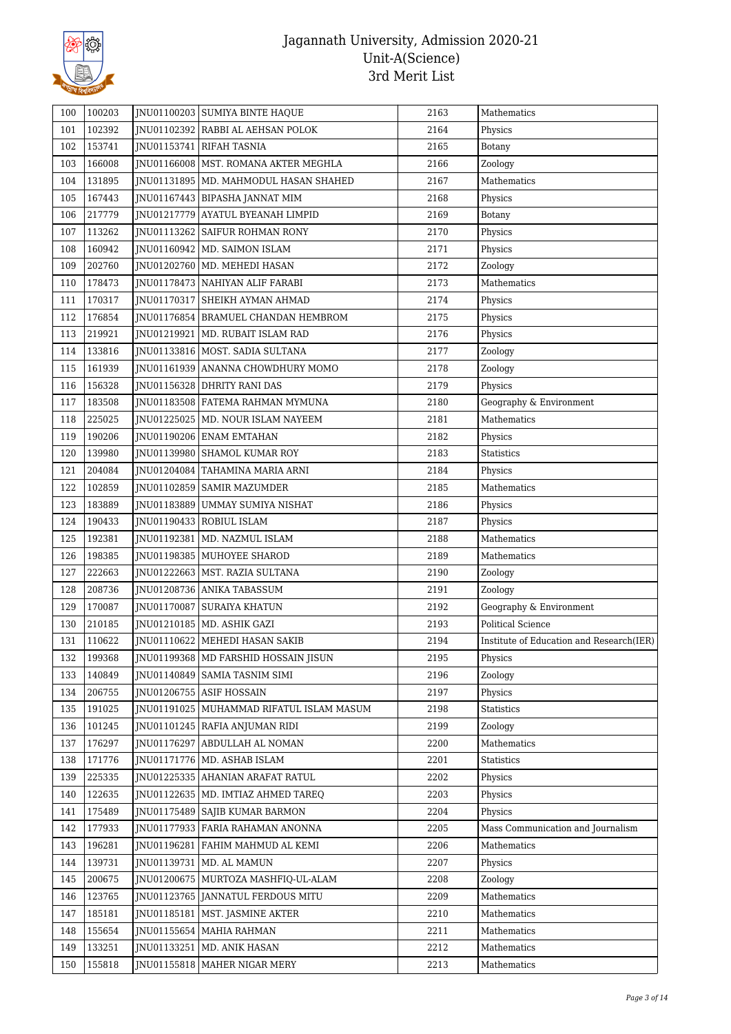

| 100 | 100203 |             | <b>INU01100203 SUMIYA BINTE HAQUE</b>      | 2163 | Mathematics                              |
|-----|--------|-------------|--------------------------------------------|------|------------------------------------------|
| 101 | 102392 |             | JNU01102392 RABBI AL AEHSAN POLOK          | 2164 | Physics                                  |
| 102 | 153741 |             | JNU01153741 RIFAH TASNIA                   | 2165 | Botany                                   |
| 103 | 166008 |             | JNU01166008   MST. ROMANA AKTER MEGHLA     | 2166 | Zoology                                  |
| 104 | 131895 |             | JNU01131895 MD. MAHMODUL HASAN SHAHED      | 2167 | Mathematics                              |
| 105 | 167443 |             | JNU01167443   BIPASHA JANNAT MIM           | 2168 | Physics                                  |
| 106 | 217779 |             | JNU01217779 AYATUL BYEANAH LIMPID          | 2169 | Botany                                   |
| 107 | 113262 |             | <b>INU01113262 SAIFUR ROHMAN RONY</b>      | 2170 | Physics                                  |
| 108 | 160942 |             | JNU01160942   MD. SAIMON ISLAM             | 2171 | Physics                                  |
| 109 | 202760 |             | JNU01202760   MD. MEHEDI HASAN             | 2172 | Zoology                                  |
| 110 | 178473 |             | JNU01178473 NAHIYAN ALIF FARABI            | 2173 | Mathematics                              |
| 111 | 170317 |             | JNU01170317 SHEIKH AYMAN AHMAD             | 2174 | Physics                                  |
| 112 | 176854 |             | JNU01176854   BRAMUEL CHANDAN HEMBROM      | 2175 | Physics                                  |
| 113 | 219921 |             | JNU01219921   MD. RUBAIT ISLAM RAD         | 2176 | Physics                                  |
| 114 | 133816 |             | JNU01133816   MOST. SADIA SULTANA          | 2177 | Zoology                                  |
| 115 | 161939 |             | JNU01161939 ANANNA CHOWDHURY MOMO          | 2178 | Zoology                                  |
| 116 | 156328 |             | INU01156328 DHRITY RANI DAS                | 2179 | Physics                                  |
| 117 | 183508 |             | JNU01183508 FATEMA RAHMAN MYMUNA           | 2180 | Geography & Environment                  |
| 118 | 225025 |             | JNU01225025   MD. NOUR ISLAM NAYEEM        | 2181 | Mathematics                              |
| 119 | 190206 |             | JNU01190206 ENAM EMTAHAN                   | 2182 | Physics                                  |
| 120 | 139980 |             | JNU01139980   SHAMOL KUMAR ROY             | 2183 | <b>Statistics</b>                        |
| 121 | 204084 |             | JNU01204084   TAHAMINA MARIA ARNI          | 2184 | Physics                                  |
| 122 | 102859 |             | JNU01102859   SAMIR MAZUMDER               | 2185 | Mathematics                              |
| 123 | 183889 |             | JNU01183889 UMMAY SUMIYA NISHAT            | 2186 | Physics                                  |
| 124 | 190433 |             | JNU01190433 ROBIUL ISLAM                   | 2187 | Physics                                  |
| 125 | 192381 |             | JNU01192381   MD. NAZMUL ISLAM             | 2188 | Mathematics                              |
| 126 | 198385 |             | JNU01198385   MUHOYEE SHAROD               | 2189 | Mathematics                              |
| 127 | 222663 |             | JNU01222663   MST. RAZIA SULTANA           | 2190 | Zoology                                  |
| 128 | 208736 |             | JNU01208736 ANIKA TABASSUM                 | 2191 | Zoology                                  |
| 129 | 170087 |             | JNU01170087 SURAIYA KHATUN                 | 2192 | Geography & Environment                  |
| 130 | 210185 |             | JNU01210185   MD. ASHIK GAZI               | 2193 | <b>Political Science</b>                 |
| 131 | 110622 |             | JNU01110622   MEHEDI HASAN SAKIB           | 2194 | Institute of Education and Research(IER) |
| 132 | 199368 |             | JNU01199368   MD FARSHID HOSSAIN JISUN     | 2195 | Physics                                  |
| 133 | 140849 |             | JNU01140849   SAMIA TASNIM SIMI            | 2196 | Zoology                                  |
| 134 | 206755 |             | JNU01206755 ASIF HOSSAIN                   | 2197 | Physics                                  |
| 135 | 191025 |             | JNU01191025   MUHAMMAD RIFATUL ISLAM MASUM | 2198 | Statistics                               |
| 136 | 101245 |             | INU01101245 RAFIA ANJUMAN RIDI             | 2199 | Zoology                                  |
| 137 | 176297 |             | INU01176297 ABDULLAH AL NOMAN              | 2200 | Mathematics                              |
| 138 | 171776 |             | JNU01171776   MD. ASHAB ISLAM              | 2201 | <b>Statistics</b>                        |
| 139 | 225335 |             | JNU01225335 AHANIAN ARAFAT RATUL           | 2202 | Physics                                  |
| 140 | 122635 |             | INU01122635   MD. IMTIAZ AHMED TAREO       | 2203 | Physics                                  |
| 141 | 175489 |             | JNU01175489   SAJIB KUMAR BARMON           | 2204 | Physics                                  |
| 142 | 177933 |             | JNU01177933   FARIA RAHAMAN ANONNA         | 2205 | Mass Communication and Journalism        |
| 143 | 196281 |             | JNU01196281   FAHIM MAHMUD AL KEMI         | 2206 | Mathematics                              |
| 144 | 139731 |             | JNU01139731   MD. AL MAMUN                 | 2207 | Physics                                  |
| 145 | 200675 | JNU01200675 | MURTOZA MASHFIQ-UL-ALAM                    | 2208 | Zoology                                  |
| 146 | 123765 |             | JNU01123765   JANNATUL FERDOUS MITU        | 2209 | Mathematics                              |
| 147 | 185181 | JNU01185181 | MST. JASMINE AKTER                         | 2210 | Mathematics                              |
| 148 | 155654 |             | JNU01155654   MAHIA RAHMAN                 | 2211 | Mathematics                              |
| 149 | 133251 |             | JNU01133251   MD. ANIK HASAN               | 2212 | Mathematics                              |
| 150 | 155818 |             | JNU01155818   MAHER NIGAR MERY             | 2213 | Mathematics                              |
|     |        |             |                                            |      |                                          |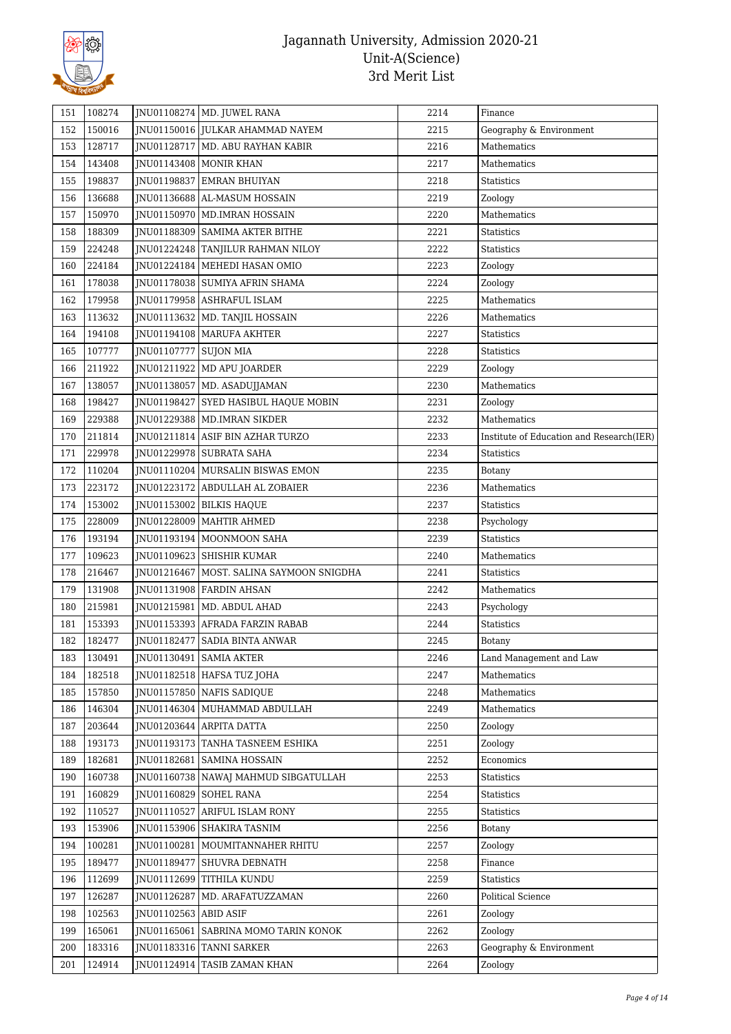

| 151 | 108274 |                       | JNU01108274   MD. JUWEL RANA               | 2214 | Finance                                  |
|-----|--------|-----------------------|--------------------------------------------|------|------------------------------------------|
| 152 | 150016 |                       | JNU01150016 JULKAR AHAMMAD NAYEM           | 2215 | Geography & Environment                  |
| 153 | 128717 |                       | JNU01128717 MD. ABU RAYHAN KABIR           | 2216 | Mathematics                              |
| 154 | 143408 |                       | JNU01143408   MONIR KHAN                   | 2217 | Mathematics                              |
| 155 | 198837 |                       | JNU01198837 EMRAN BHUIYAN                  | 2218 | <b>Statistics</b>                        |
| 156 | 136688 |                       | JNU01136688 AL-MASUM HOSSAIN               | 2219 | Zoology                                  |
| 157 | 150970 |                       | JNU01150970   MD.IMRAN HOSSAIN             | 2220 | Mathematics                              |
| 158 | 188309 |                       | JNU01188309   SAMIMA AKTER BITHE           | 2221 | <b>Statistics</b>                        |
| 159 | 224248 |                       | JNU01224248 TANJILUR RAHMAN NILOY          | 2222 | Statistics                               |
| 160 | 224184 |                       | JNU01224184   MEHEDI HASAN OMIO            | 2223 | Zoology                                  |
| 161 | 178038 |                       | JNU01178038 SUMIYA AFRIN SHAMA             | 2224 | Zoology                                  |
| 162 | 179958 |                       | JNU01179958 ASHRAFUL ISLAM                 | 2225 | Mathematics                              |
| 163 | 113632 |                       | JNU01113632   MD. TANJIL HOSSAIN           | 2226 | Mathematics                              |
| 164 | 194108 |                       | JNU01194108   MARUFA AKHTER                | 2227 | Statistics                               |
| 165 | 107777 | JNU01107777 SUJON MIA |                                            | 2228 | <b>Statistics</b>                        |
| 166 | 211922 |                       | JNU01211922 MD APU JOARDER                 | 2229 | Zoology                                  |
| 167 | 138057 |                       | JNU01138057   MD. ASADUJJAMAN              | 2230 | Mathematics                              |
| 168 | 198427 |                       | JNU01198427 SYED HASIBUL HAQUE MOBIN       | 2231 | Zoology                                  |
| 169 | 229388 |                       | JNU01229388 MD.IMRAN SIKDER                | 2232 | Mathematics                              |
| 170 | 211814 |                       | JNU01211814 ASIF BIN AZHAR TURZO           | 2233 | Institute of Education and Research(IER) |
| 171 | 229978 |                       | JNU01229978 SUBRATA SAHA                   | 2234 | Statistics                               |
| 172 | 110204 |                       | JNU01110204   MURSALIN BISWAS EMON         | 2235 | Botany                                   |
| 173 | 223172 |                       | JNU01223172 ABDULLAH AL ZOBAIER            | 2236 | Mathematics                              |
| 174 | 153002 |                       | JNU01153002 BILKIS HAQUE                   | 2237 | <b>Statistics</b>                        |
| 175 | 228009 |                       | JNU01228009   MAHTIR AHMED                 | 2238 | Psychology                               |
| 176 | 193194 |                       | JNU01193194   MOONMOON SAHA                | 2239 | Statistics                               |
| 177 | 109623 |                       | JNU01109623 SHISHIR KUMAR                  | 2240 | Mathematics                              |
| 178 | 216467 |                       | JNU01216467   MOST. SALINA SAYMOON SNIGDHA | 2241 | Statistics                               |
| 179 | 131908 |                       | JNU01131908   FARDIN AHSAN                 | 2242 | Mathematics                              |
| 180 | 215981 |                       | JNU01215981   MD. ABDUL AHAD               | 2243 | Psychology                               |
| 181 | 153393 |                       | JNU01153393 AFRADA FARZIN RABAB            | 2244 | Statistics                               |
| 182 | 182477 |                       | INU01182477 SADIA BINTA ANWAR              | 2245 | <b>Botany</b>                            |
| 183 | 130491 |                       | JNU01130491   SAMIA AKTER                  | 2246 | Land Management and Law                  |
| 184 | 182518 |                       | JNU01182518   HAFSA TUZ JOHA               | 2247 | Mathematics                              |
| 185 | 157850 |                       | JNU01157850 NAFIS SADIQUE                  | 2248 | Mathematics                              |
| 186 | 146304 |                       | INU01146304 MUHAMMAD ABDULLAH              | 2249 | Mathematics                              |
| 187 | 203644 |                       | JNU01203644 ARPITA DATTA                   | 2250 | Zoology                                  |
| 188 | 193173 |                       | JNU01193173 TANHA TASNEEM ESHIKA           | 2251 | Zoology                                  |
| 189 | 182681 |                       | JNU01182681   SAMINA HOSSAIN               | 2252 | Economics                                |
| 190 | 160738 |                       | JNU01160738 NAWAJ MAHMUD SIBGATULLAH       | 2253 | Statistics                               |
| 191 | 160829 |                       | JNU01160829 SOHEL RANA                     | 2254 | <b>Statistics</b>                        |
| 192 | 110527 |                       | JNU01110527 ARIFUL ISLAM RONY              | 2255 | Statistics                               |
| 193 | 153906 |                       | JNU01153906 SHAKIRA TASNIM                 | 2256 | Botany                                   |
| 194 | 100281 |                       | JNU01100281   MOUMITANNAHER RHITU          | 2257 | Zoology                                  |
| 195 | 189477 |                       | JNU01189477 SHUVRA DEBNATH                 | 2258 | Finance                                  |
| 196 | 112699 | JNU01112699           | TITHILA KUNDU                              | 2259 | Statistics                               |
| 197 | 126287 |                       | JNU01126287   MD. ARAFATUZZAMAN            | 2260 | Political Science                        |
| 198 | 102563 | JNU01102563 ABID ASIF |                                            | 2261 | Zoology                                  |
| 199 | 165061 |                       | JNU01165061   SABRINA MOMO TARIN KONOK     | 2262 | Zoology                                  |
| 200 | 183316 |                       | JNU01183316 TANNI SARKER                   | 2263 | Geography & Environment                  |
| 201 | 124914 |                       | JNU01124914 TASIB ZAMAN KHAN               | 2264 | Zoology                                  |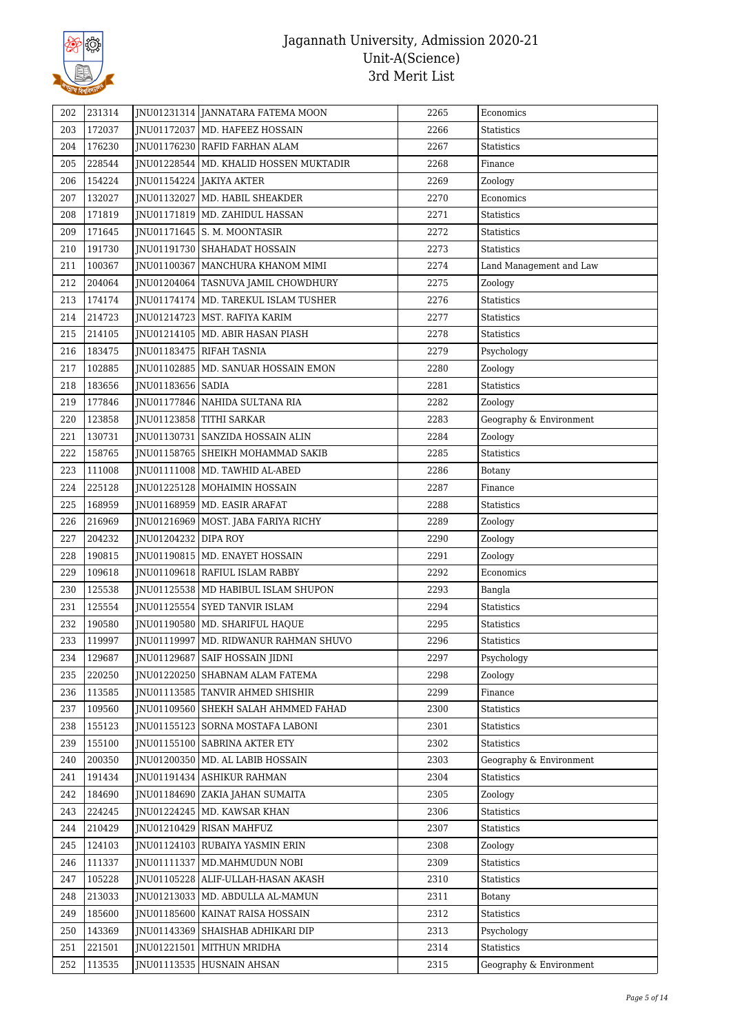

| 202 | 231314 |                      | JNU01231314 JANNATARA FATEMA MOON        | 2265 | Economics               |
|-----|--------|----------------------|------------------------------------------|------|-------------------------|
| 203 | 172037 |                      | JNU01172037   MD. HAFEEZ HOSSAIN         | 2266 | Statistics              |
| 204 | 176230 |                      | JNU01176230 RAFID FARHAN ALAM            | 2267 | Statistics              |
| 205 | 228544 |                      | JNU01228544   MD. KHALID HOSSEN MUKTADIR | 2268 | Finance                 |
| 206 | 154224 |                      | JNU01154224 JAKIYA AKTER                 | 2269 | Zoology                 |
| 207 | 132027 |                      | JNU01132027   MD. HABIL SHEAKDER         | 2270 | Economics               |
| 208 | 171819 |                      | JNU01171819   MD. ZAHIDUL HASSAN         | 2271 | Statistics              |
| 209 | 171645 |                      | JNU01171645 S. M. MOONTASIR              | 2272 | <b>Statistics</b>       |
| 210 | 191730 |                      | JNU01191730   SHAHADAT HOSSAIN           | 2273 | Statistics              |
| 211 | 100367 |                      | INU01100367   MANCHURA KHANOM MIMI       | 2274 | Land Management and Law |
| 212 | 204064 |                      | JNU01204064   TASNUVA JAMIL CHOWDHURY    | 2275 | Zoology                 |
| 213 | 174174 |                      | JNU01174174   MD. TAREKUL ISLAM TUSHER   | 2276 | Statistics              |
| 214 | 214723 |                      | JNU01214723   MST. RAFIYA KARIM          | 2277 | Statistics              |
| 215 | 214105 |                      | JNU01214105   MD. ABIR HASAN PIASH       | 2278 | <b>Statistics</b>       |
| 216 | 183475 |                      | JNU01183475 RIFAH TASNIA                 | 2279 | Psychology              |
| 217 | 102885 |                      | JNU01102885   MD. SANUAR HOSSAIN EMON    | 2280 | Zoology                 |
| 218 | 183656 | JNU01183656 SADIA    |                                          | 2281 | Statistics              |
| 219 | 177846 |                      | JNU01177846   NAHIDA SULTANA RIA         | 2282 | Zoology                 |
| 220 | 123858 |                      | JNU01123858 TITHI SARKAR                 | 2283 | Geography & Environment |
| 221 | 130731 |                      | JNU01130731   SANZIDA HOSSAIN ALIN       | 2284 | Zoology                 |
| 222 | 158765 |                      | INU01158765 SHEIKH MOHAMMAD SAKIB        | 2285 | <b>Statistics</b>       |
| 223 | 111008 |                      | JNU01111008   MD. TAWHID AL-ABED         | 2286 | Botany                  |
| 224 | 225128 |                      | JNU01225128   MOHAIMIN HOSSAIN           | 2287 | Finance                 |
| 225 | 168959 |                      | JNU01168959   MD. EASIR ARAFAT           | 2288 | Statistics              |
| 226 | 216969 |                      | JNU01216969   MOST. JABA FARIYA RICHY    | 2289 |                         |
| 227 | 204232 | JNU01204232 DIPA ROY |                                          | 2290 | Zoology                 |
| 228 | 190815 |                      | JNU01190815   MD. ENAYET HOSSAIN         | 2291 | Zoology                 |
|     |        |                      | JNU01109618 RAFIUL ISLAM RABBY           |      | Zoology                 |
| 229 | 109618 |                      |                                          | 2292 | Economics               |
| 230 | 125538 |                      | JNU01125538   MD HABIBUL ISLAM SHUPON    | 2293 | Bangla                  |
| 231 | 125554 |                      | INU01125554 SYED TANVIR ISLAM            | 2294 | <b>Statistics</b>       |
| 232 | 190580 |                      | JNU01190580   MD. SHARIFUL HAQUE         | 2295 | <b>Statistics</b>       |
| 233 | 119997 |                      | JNU01119997   MD. RIDWANUR RAHMAN SHUVO  | 2296 | Statistics              |
| 234 | 129687 |                      | JNU01129687 SAIF HOSSAIN JIDNI           | 2297 | Psychology              |
| 235 | 220250 |                      | JNU01220250 SHABNAM ALAM FATEMA          | 2298 | Zoology                 |
| 236 | 113585 |                      | JNU01113585   TANVIR AHMED SHISHIR       | 2299 | Finance                 |
| 237 | 109560 |                      | JNU01109560 SHEKH SALAH AHMMED FAHAD     | 2300 | <b>Statistics</b>       |
| 238 | 155123 |                      | JNU01155123   SORNA MOSTAFA LABONI       | 2301 | <b>Statistics</b>       |
| 239 | 155100 |                      | JNU01155100 SABRINA AKTER ETY            | 2302 | Statistics              |
| 240 | 200350 |                      | INU01200350   MD. AL LABIB HOSSAIN       | 2303 | Geography & Environment |
| 241 | 191434 |                      | JNU01191434 ASHIKUR RAHMAN               | 2304 | Statistics              |
| 242 | 184690 |                      | JNU01184690 ZAKIA JAHAN SUMAITA          | 2305 | Zoology                 |
| 243 | 224245 |                      | JNU01224245   MD. KAWSAR KHAN            | 2306 | Statistics              |
| 244 | 210429 |                      | JNU01210429 RISAN MAHFUZ                 | 2307 | Statistics              |
| 245 | 124103 |                      | JNU01124103 RUBAIYA YASMIN ERIN          | 2308 | Zoology                 |
| 246 | 111337 |                      | JNU01111337   MD.MAHMUDUN NOBI           | 2309 | Statistics              |
| 247 | 105228 |                      | JNU01105228 ALIF-ULLAH-HASAN AKASH       | 2310 | Statistics              |
| 248 | 213033 |                      | JNU01213033   MD. ABDULLA AL-MAMUN       | 2311 | Botany                  |
| 249 | 185600 |                      | JNU01185600   KAINAT RAISA HOSSAIN       | 2312 | Statistics              |
| 250 | 143369 |                      | JNU01143369 SHAISHAB ADHIKARI DIP        | 2313 | Psychology              |
| 251 | 221501 |                      | JNU01221501   MITHUN MRIDHA              | 2314 | Statistics              |
| 252 | 113535 |                      | JNU01113535   HUSNAIN AHSAN              | 2315 | Geography & Environment |
|     |        |                      |                                          |      |                         |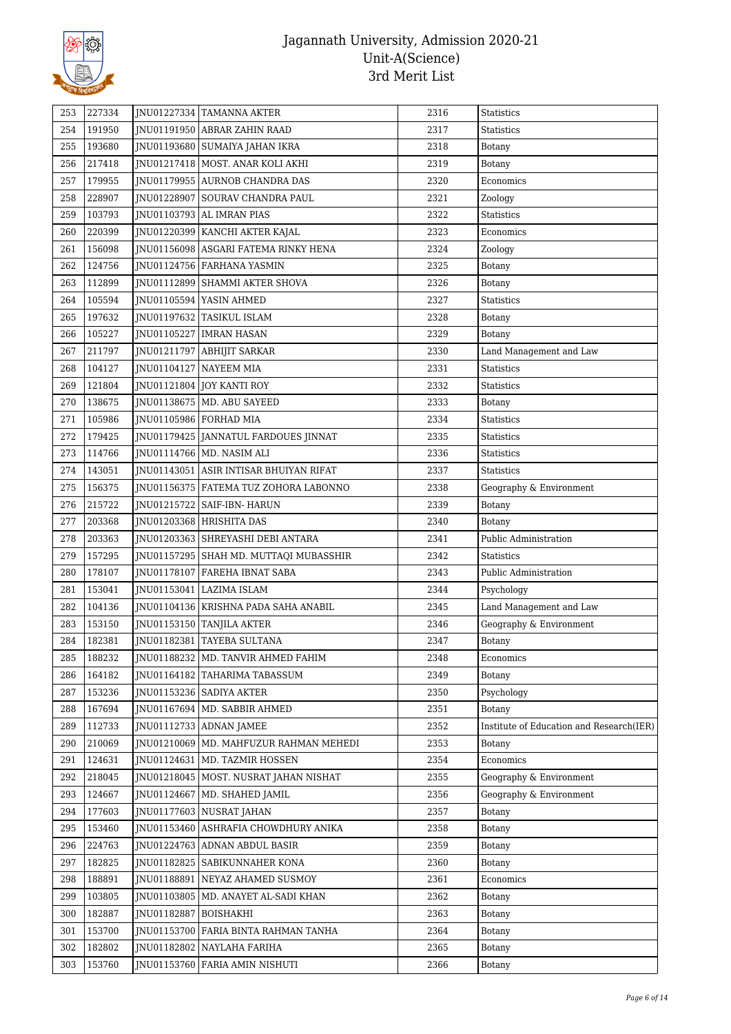

| 253 | 227334 |             | JNU01227334 TAMANNA AKTER                | 2316 | Statistics                               |
|-----|--------|-------------|------------------------------------------|------|------------------------------------------|
| 254 | 191950 |             | JNU01191950 ABRAR ZAHIN RAAD             | 2317 | <b>Statistics</b>                        |
| 255 | 193680 |             | JNU01193680 SUMAIYA JAHAN IKRA           | 2318 | Botany                                   |
| 256 | 217418 |             | JNU01217418   MOST. ANAR KOLI AKHI       | 2319 | Botany                                   |
| 257 | 179955 |             | JNU01179955 AURNOB CHANDRA DAS           | 2320 | Economics                                |
| 258 | 228907 |             | JNU01228907 SOURAV CHANDRA PAUL          | 2321 | Zoology                                  |
| 259 | 103793 |             | JNU01103793 AL IMRAN PIAS                | 2322 | Statistics                               |
|     | 220399 |             | JNU01220399 KANCHI AKTER KAJAL           | 2323 | Economics                                |
| 260 | 156098 |             | JNU01156098 ASGARI FATEMA RINKY HENA     | 2324 |                                          |
| 261 |        |             | JNU01124756 FARHANA YASMIN               |      | Zoology                                  |
| 262 | 124756 |             |                                          | 2325 | Botany                                   |
| 263 | 112899 |             | JNU01112899 SHAMMI AKTER SHOVA           | 2326 | <b>Botany</b>                            |
| 264 | 105594 |             | JNU01105594 YASIN AHMED                  | 2327 | <b>Statistics</b>                        |
| 265 | 197632 |             | JNU01197632 TASIKUL ISLAM                | 2328 | Botany                                   |
| 266 | 105227 |             | JNU01105227   IMRAN HASAN                | 2329 | Botany                                   |
| 267 | 211797 |             | JNU01211797 ABHIJIT SARKAR               | 2330 | Land Management and Law                  |
| 268 | 104127 |             | JNU01104127 NAYEEM MIA                   | 2331 | Statistics                               |
| 269 | 121804 |             | JNU01121804 JOY KANTI ROY                | 2332 | <b>Statistics</b>                        |
| 270 | 138675 |             | JNU01138675   MD. ABU SAYEED             | 2333 | <b>Botany</b>                            |
| 271 | 105986 |             | JNU01105986 FORHAD MIA                   | 2334 | Statistics                               |
| 272 | 179425 |             | JNU01179425 JANNATUL FARDOUES JINNAT     | 2335 | <b>Statistics</b>                        |
| 273 | 114766 |             | JNU01114766 MD. NASIM ALI                | 2336 | Statistics                               |
| 274 | 143051 |             | JNU01143051   ASIR INTISAR BHUIYAN RIFAT | 2337 | Statistics                               |
| 275 | 156375 |             | JNU01156375   FATEMA TUZ ZOHORA LABONNO  | 2338 | Geography & Environment                  |
| 276 | 215722 |             | JNU01215722   SAIF-IBN- HARUN            | 2339 | Botany                                   |
| 277 | 203368 |             | JNU01203368 HRISHITA DAS                 | 2340 | Botany                                   |
| 278 | 203363 |             | JNU01203363 SHREYASHI DEBI ANTARA        | 2341 | Public Administration                    |
| 279 | 157295 |             | JNU01157295   SHAH MD. MUTTAQI MUBASSHIR | 2342 | <b>Statistics</b>                        |
| 280 | 178107 |             | JNU01178107 FAREHA IBNAT SABA            | 2343 | Public Administration                    |
| 281 | 153041 | JNU01153041 | LAZIMA ISLAM                             | 2344 | Psychology                               |
| 282 | 104136 |             | JNU01104136   KRISHNA PADA SAHA ANABIL   | 2345 | Land Management and Law                  |
| 283 | 153150 |             | JNU01153150 TANJILA AKTER                | 2346 | Geography & Environment                  |
| 284 | 182381 |             | JNU01182381 TAYEBA SULTANA               | 2347 | Botany                                   |
| 285 | 188232 |             | JNU01188232   MD. TANVIR AHMED FAHIM     | 2348 | Economics                                |
| 286 | 164182 |             | JNU01164182 TAHARIMA TABASSUM            | 2349 | Botany                                   |
| 287 | 153236 |             | JNU01153236   SADIYA AKTER               | 2350 | Psychology                               |
| 288 | 167694 |             | JNU01167694   MD. SABBIR AHMED           | 2351 | Botany                                   |
| 289 | 112733 |             | JNU01112733 ADNAN JAMEE                  | 2352 | Institute of Education and Research(IER) |
| 290 | 210069 |             | JNU01210069   MD. MAHFUZUR RAHMAN MEHEDI | 2353 | Botany                                   |
| 291 | 124631 | JNU01124631 | MD. TAZMIR HOSSEN                        | 2354 | Economics                                |
| 292 | 218045 |             | INU01218045   MOST. NUSRAT JAHAN NISHAT  | 2355 | Geography & Environment                  |
| 293 | 124667 |             | JNU01124667   MD. SHAHED JAMIL           | 2356 | Geography & Environment                  |
| 294 | 177603 |             | JNU01177603 NUSRAT JAHAN                 | 2357 | Botany                                   |
| 295 | 153460 |             | JNU01153460 ASHRAFIA CHOWDHURY ANIKA     | 2358 | Botany                                   |
| 296 | 224763 |             | JNU01224763 ADNAN ABDUL BASIR            | 2359 | Botany                                   |
| 297 | 182825 | JNU01182825 | SABIKUNNAHER KONA                        | 2360 | Botany                                   |
| 298 | 188891 | JNU01188891 | NEYAZ AHAMED SUSMOY                      | 2361 | Economics                                |
| 299 | 103805 |             | JNU01103805   MD. ANAYET AL-SADI KHAN    | 2362 | Botany                                   |
| 300 | 182887 | JNU01182887 | <b>BOISHAKHI</b>                         | 2363 | Botany                                   |
| 301 | 153700 |             | JNU01153700 FARIA BINTA RAHMAN TANHA     | 2364 | Botany                                   |
| 302 | 182802 |             | JNU01182802 NAYLAHA FARIHA               | 2365 | Botany                                   |
| 303 | 153760 |             | JNU01153760 FARIA AMIN NISHUTI           | 2366 | Botany                                   |
|     |        |             |                                          |      |                                          |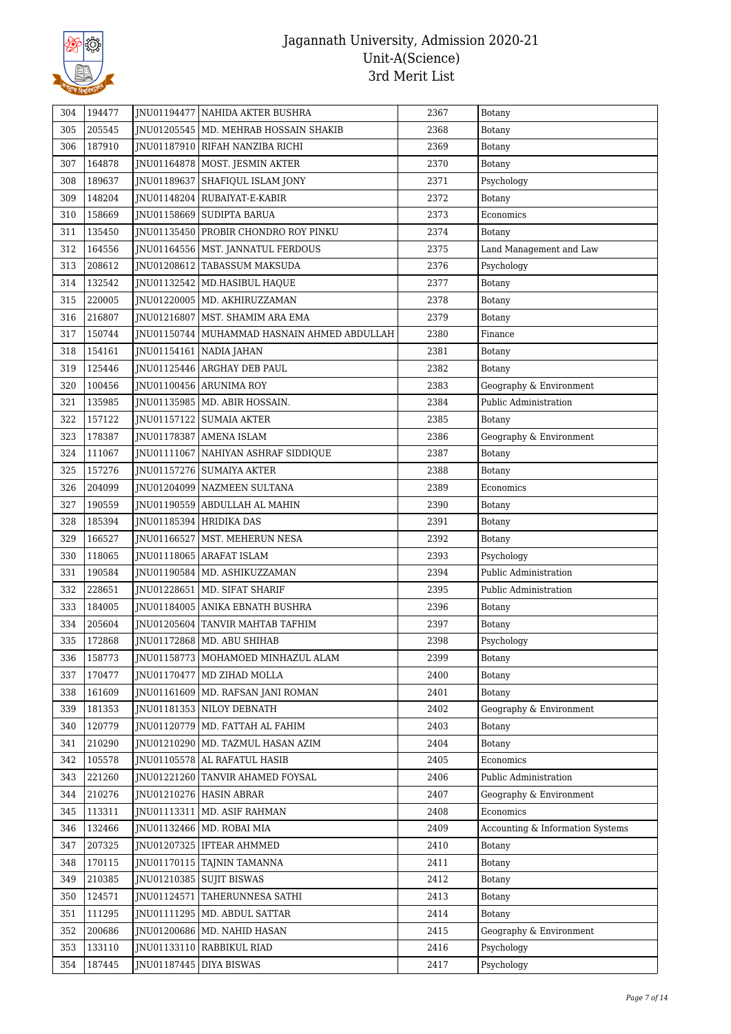

| 304 | 194477 | <b>INU01194477 NAHIDA AKTER BUSHRA</b>        | 2367 | Botany                           |
|-----|--------|-----------------------------------------------|------|----------------------------------|
| 305 | 205545 | JNU01205545   MD. MEHRAB HOSSAIN SHAKIB       | 2368 | <b>Botany</b>                    |
| 306 | 187910 | JNU01187910 RIFAH NANZIBA RICHI               | 2369 | <b>Botany</b>                    |
| 307 | 164878 | JNU01164878   MOST. JESMIN AKTER              | 2370 | Botany                           |
| 308 | 189637 | JNU01189637 SHAFIQUL ISLAM JONY               | 2371 | Psychology                       |
| 309 | 148204 | JNU01148204 RUBAIYAT-E-KABIR                  | 2372 | Botany                           |
| 310 | 158669 | JNU01158669   SUDIPTA BARUA                   | 2373 | Economics                        |
| 311 | 135450 | JNU01135450 PROBIR CHONDRO ROY PINKU          | 2374 | <b>Botany</b>                    |
| 312 | 164556 | JNU01164556   MST. JANNATUL FERDOUS           | 2375 | Land Management and Law          |
| 313 | 208612 | JNU01208612 TABASSUM MAKSUDA                  | 2376 | Psychology                       |
| 314 | 132542 | JNU01132542   MD.HASIBUL HAQUE                | 2377 | Botany                           |
| 315 | 220005 | JNU01220005   MD. AKHIRUZZAMAN                | 2378 | <b>Botany</b>                    |
| 316 | 216807 | JNU01216807   MST. SHAMIM ARA EMA             | 2379 | Botany                           |
| 317 | 150744 | JNU01150744   MUHAMMAD HASNAIN AHMED ABDULLAH | 2380 | Finance                          |
| 318 | 154161 | JNU01154161   NADIA JAHAN                     | 2381 | Botany                           |
| 319 | 125446 | JNU01125446 ARGHAY DEB PAUL                   | 2382 | Botany                           |
| 320 | 100456 | JNU01100456 ARUNIMA ROY                       | 2383 | Geography & Environment          |
| 321 | 135985 | JNU01135985   MD. ABIR HOSSAIN.               | 2384 | Public Administration            |
| 322 | 157122 | JNU01157122   SUMAIA AKTER                    | 2385 | Botany                           |
| 323 | 178387 | JNU01178387 AMENA ISLAM                       | 2386 | Geography & Environment          |
| 324 | 111067 | JNU01111067 NAHIYAN ASHRAF SIDDIQUE           | 2387 | <b>Botany</b>                    |
| 325 | 157276 | JNU01157276   SUMAIYA AKTER                   | 2388 | Botany                           |
| 326 | 204099 | JNU01204099 NAZMEEN SULTANA                   | 2389 | Economics                        |
| 327 | 190559 | JNU01190559 ABDULLAH AL MAHIN                 | 2390 | Botany                           |
| 328 | 185394 | JNU01185394 HRIDIKA DAS                       | 2391 | <b>Botany</b>                    |
| 329 | 166527 | JNU01166527   MST. MEHERUN NESA               | 2392 | Botany                           |
| 330 | 118065 | JNU01118065 ARAFAT ISLAM                      | 2393 | Psychology                       |
| 331 | 190584 | JNU01190584   MD. ASHIKUZZAMAN                | 2394 | Public Administration            |
| 332 | 228651 | JNU01228651   MD. SIFAT SHARIF                | 2395 | Public Administration            |
| 333 | 184005 | JNU01184005 ANIKA EBNATH BUSHRA               | 2396 | <b>Botany</b>                    |
| 334 | 205604 | <b>INU01205604 TANVIR MAHTAB TAFHIM</b>       | 2397 | <b>Botany</b>                    |
| 335 | 172868 | JNU01172868   MD. ABU SHIHAB                  | 2398 | Psychology                       |
| 336 | 158773 | JNU01158773   MOHAMOED MINHAZUL ALAM          | 2399 | Botany                           |
| 337 | 170477 | JNU01170477   MD ZIHAD MOLLA                  | 2400 | Botany                           |
| 338 | 161609 | JNU01161609   MD. RAFSAN JANI ROMAN           | 2401 | Botany                           |
| 339 | 181353 | JNU01181353 NILOY DEBNATH                     | 2402 | Geography & Environment          |
| 340 | 120779 | JNU01120779   MD. FATTAH AL FAHIM             | 2403 | Botany                           |
| 341 | 210290 | JNU01210290   MD. TAZMUL HASAN AZIM           | 2404 | Botany                           |
| 342 | 105578 | JNU01105578 AL RAFATUL HASIB                  | 2405 | Economics                        |
| 343 | 221260 | JNU01221260 TANVIR AHAMED FOYSAL              | 2406 | Public Administration            |
| 344 | 210276 | JNU01210276   HASIN ABRAR                     | 2407 | Geography & Environment          |
| 345 | 113311 | JNU01113311   MD. ASIF RAHMAN                 | 2408 | Economics                        |
| 346 | 132466 | JNU01132466   MD. ROBAI MIA                   | 2409 | Accounting & Information Systems |
| 347 | 207325 | JNU01207325   IFTEAR AHMMED                   | 2410 | Botany                           |
| 348 | 170115 | JNU01170115 TAJNIN TAMANNA                    | 2411 | Botany                           |
| 349 | 210385 | JNU01210385 SUJIT BISWAS                      | 2412 | Botany                           |
| 350 | 124571 | JNU01124571 TAHERUNNESA SATHI                 | 2413 | Botany                           |
| 351 | 111295 | JNU01111295   MD. ABDUL SATTAR                | 2414 | Botany                           |
| 352 | 200686 | JNU01200686   MD. NAHID HASAN                 | 2415 | Geography & Environment          |
| 353 | 133110 | JNU01133110 RABBIKUL RIAD                     | 2416 | Psychology                       |
| 354 | 187445 | JNU01187445   DIYA BISWAS                     | 2417 | Psychology                       |
|     |        |                                               |      |                                  |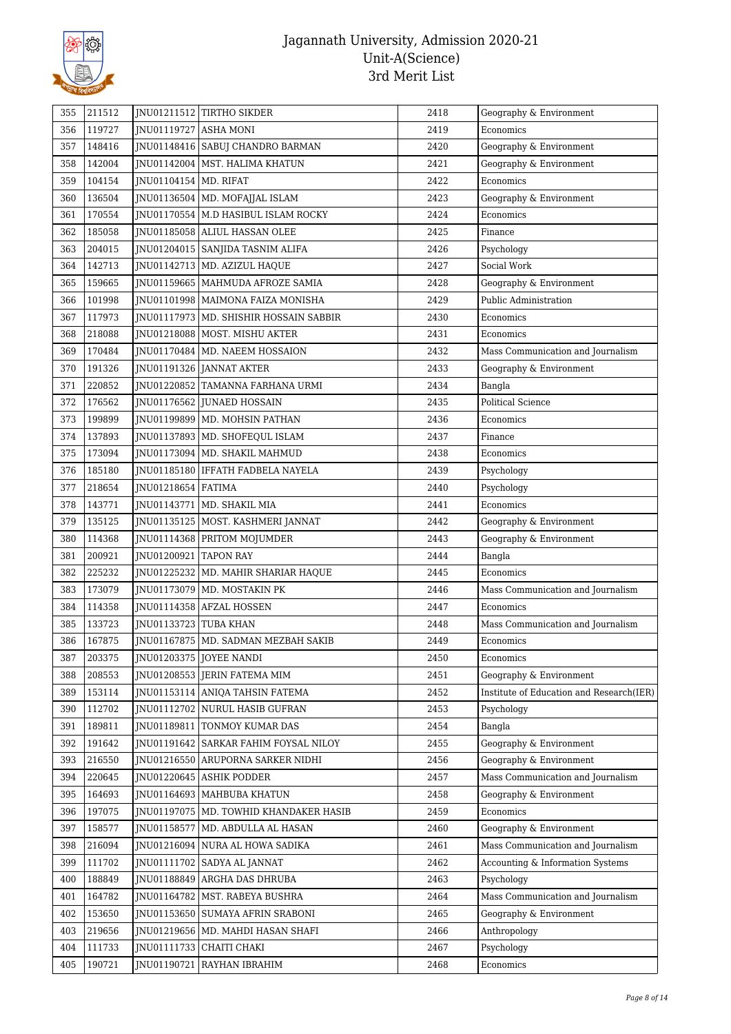

| 355 | 211512 |                              | INU01211512 TIRTHO SIKDER                | 2418 | Geography & Environment                  |
|-----|--------|------------------------------|------------------------------------------|------|------------------------------------------|
| 356 | 119727 | JNU01119727 ASHA MONI        |                                          | 2419 | Economics                                |
| 357 | 148416 |                              | JNU01148416 SABUJ CHANDRO BARMAN         | 2420 | Geography & Environment                  |
| 358 | 142004 |                              | JNU01142004   MST. HALIMA KHATUN         | 2421 | Geography & Environment                  |
| 359 | 104154 | JNU01104154 MD. RIFAT        |                                          | 2422 | Economics                                |
| 360 | 136504 |                              | JNU01136504   MD. MOFAJJAL ISLAM         | 2423 | Geography & Environment                  |
| 361 | 170554 |                              | JNU01170554   M.D HASIBUL ISLAM ROCKY    | 2424 | Economics                                |
| 362 | 185058 |                              | JNU01185058 ALIUL HASSAN OLEE            | 2425 | Finance                                  |
| 363 | 204015 |                              | JNU01204015   SANJIDA TASNIM ALIFA       | 2426 | Psychology                               |
| 364 | 142713 |                              | JNU01142713   MD. AZIZUL HAQUE           | 2427 | Social Work                              |
| 365 | 159665 |                              | JNU01159665   MAHMUDA AFROZE SAMIA       | 2428 | Geography & Environment                  |
| 366 | 101998 |                              | JNU01101998   MAIMONA FAIZA MONISHA      | 2429 | Public Administration                    |
| 367 | 117973 |                              | JNU01117973   MD. SHISHIR HOSSAIN SABBIR | 2430 | Economics                                |
| 368 | 218088 |                              | JNU01218088   MOST. MISHU AKTER          | 2431 | Economics                                |
| 369 | 170484 |                              | JNU01170484   MD. NAEEM HOSSAION         | 2432 | Mass Communication and Journalism        |
| 370 | 191326 |                              | JNU01191326 JANNAT AKTER                 | 2433 | Geography & Environment                  |
| 371 | 220852 |                              | JNU01220852 TAMANNA FARHANA URMI         | 2434 | Bangla                                   |
| 372 | 176562 |                              | JNU01176562 JUNAED HOSSAIN               | 2435 | <b>Political Science</b>                 |
| 373 | 199899 |                              | JNU01199899   MD. MOHSIN PATHAN          | 2436 | Economics                                |
| 374 | 137893 |                              | JNU01137893   MD. SHOFEQUL ISLAM         | 2437 | Finance                                  |
| 375 | 173094 |                              | JNU01173094   MD. SHAKIL MAHMUD          | 2438 | Economics                                |
| 376 | 185180 |                              | JNU01185180   IFFATH FADBELA NAYELA      | 2439 | Psychology                               |
| 377 | 218654 | JNU01218654   FATIMA         |                                          | 2440 | Psychology                               |
| 378 | 143771 |                              | JNU01143771   MD. SHAKIL MIA             | 2441 | Economics                                |
| 379 | 135125 |                              | JNU01135125   MOST. KASHMERI JANNAT      | 2442 | Geography & Environment                  |
| 380 | 114368 |                              | JNU01114368 PRITOM MOJUMDER              | 2443 | Geography & Environment                  |
| 381 | 200921 | JNU01200921                  | <b>TAPON RAY</b>                         | 2444 | Bangla                                   |
| 382 | 225232 |                              | JNU01225232   MD. MAHIR SHARIAR HAQUE    | 2445 | Economics                                |
| 383 | 173079 |                              | JNU01173079   MD. MOSTAKIN PK            | 2446 | Mass Communication and Journalism        |
| 384 | 114358 |                              | JNU01114358   AFZAL HOSSEN               | 2447 | Economics                                |
| 385 | 133723 | <b>INU01133723 TUBA KHAN</b> |                                          | 2448 | Mass Communication and Journalism        |
| 386 | 167875 |                              | JNU01167875   MD. SADMAN MEZBAH SAKIB    | 2449 | Economics                                |
| 387 | 203375 |                              | JNU01203375 JOYEE NANDI                  | 2450 | Economics                                |
| 388 | 208553 |                              | INU01208553   JERIN FATEMA MIM           | 2451 | Geography & Environment                  |
| 389 | 153114 |                              | JNU01153114 ANIQA TAHSIN FATEMA          | 2452 | Institute of Education and Research(IER) |
| 390 | 112702 |                              | JNU01112702   NURUL HASIB GUFRAN         | 2453 | Psychology                               |
| 391 | 189811 |                              | JNU01189811   TONMOY KUMAR DAS           | 2454 | Bangla                                   |
| 392 | 191642 | JNU01191642                  | SARKAR FAHIM FOYSAL NILOY                | 2455 | Geography & Environment                  |
| 393 | 216550 |                              | JNU01216550 ARUPORNA SARKER NIDHI        | 2456 | Geography & Environment                  |
| 394 | 220645 |                              | JNU01220645 ASHIK PODDER                 | 2457 | Mass Communication and Journalism        |
| 395 | 164693 |                              | <b>INU01164693   MAHBUBA KHATUN</b>      | 2458 | Geography & Environment                  |
| 396 | 197075 |                              | JNU01197075   MD. TOWHID KHANDAKER HASIB | 2459 | Economics                                |
| 397 | 158577 |                              | JNU01158577   MD. ABDULLA AL HASAN       | 2460 | Geography & Environment                  |
| 398 | 216094 |                              | JNU01216094   NURA AL HOWA SADIKA        | 2461 | Mass Communication and Journalism        |
| 399 | 111702 | JNU01111702                  | SADYA AL JANNAT                          | 2462 | Accounting & Information Systems         |
| 400 | 188849 |                              | JNU01188849 ARGHA DAS DHRUBA             | 2463 | Psychology                               |
| 401 | 164782 |                              | JNU01164782   MST. RABEYA BUSHRA         | 2464 | Mass Communication and Journalism        |
| 402 | 153650 |                              | JNU01153650 SUMAYA AFRIN SRABONI         | 2465 | Geography & Environment                  |
| 403 | 219656 |                              | JNU01219656   MD. MAHDI HASAN SHAFI      | 2466 | Anthropology                             |
| 404 | 111733 |                              | JNU01111733 CHAITI CHAKI                 | 2467 | Psychology                               |
| 405 | 190721 | JNU01190721                  | RAYHAN IBRAHIM                           | 2468 | Economics                                |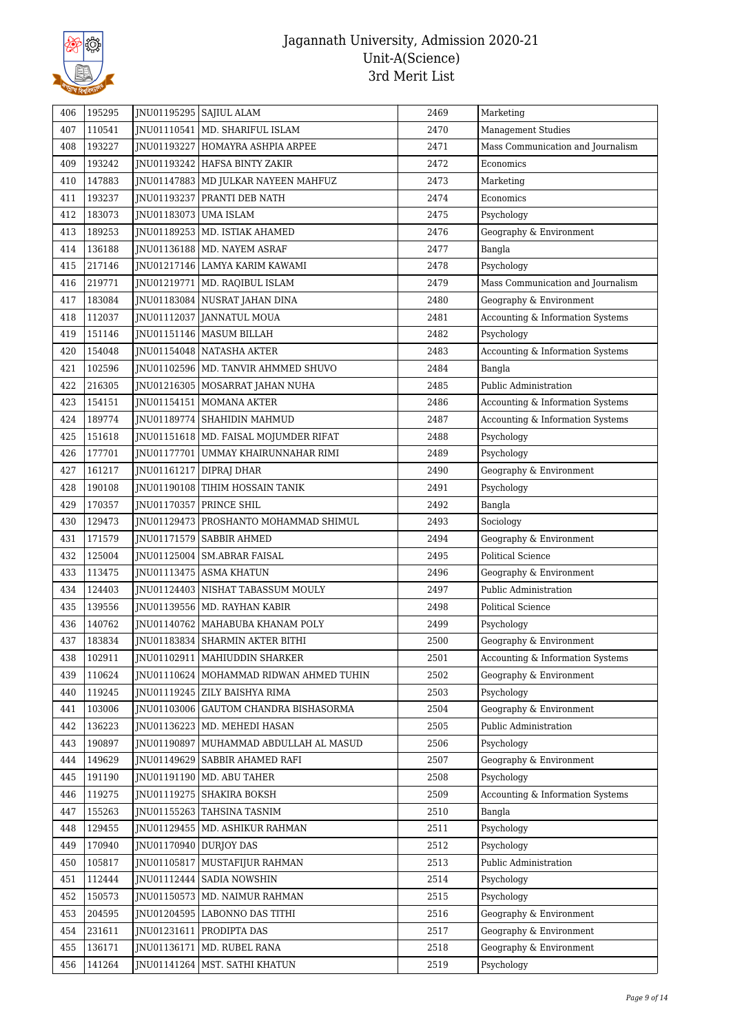

| 406 | 195295 |                         | JNU01195295   SAJIUL ALAM                 | 2469 | Marketing                         |
|-----|--------|-------------------------|-------------------------------------------|------|-----------------------------------|
| 407 | 110541 |                         | JNU01110541   MD. SHARIFUL ISLAM          | 2470 | <b>Management Studies</b>         |
| 408 | 193227 |                         | JNU01193227 HOMAYRA ASHPIA ARPEE          | 2471 | Mass Communication and Journalism |
| 409 | 193242 |                         | JNU01193242 HAFSA BINTY ZAKIR             | 2472 | Economics                         |
| 410 | 147883 |                         | JNU01147883   MD JULKAR NAYEEN MAHFUZ     | 2473 | Marketing                         |
| 411 | 193237 |                         | JNU01193237 PRANTI DEB NATH               | 2474 | Economics                         |
| 412 | 183073 | JNU01183073 UMA ISLAM   |                                           | 2475 | Psychology                        |
| 413 | 189253 |                         | JNU01189253   MD. ISTIAK AHAMED           | 2476 | Geography & Environment           |
| 414 | 136188 |                         | JNU01136188   MD. NAYEM ASRAF             | 2477 | Bangla                            |
| 415 | 217146 |                         | JNU01217146   LAMYA KARIM KAWAMI          | 2478 | Psychology                        |
| 416 | 219771 |                         | JNU01219771   MD. RAQIBUL ISLAM           | 2479 | Mass Communication and Journalism |
| 417 | 183084 |                         | JNU01183084 NUSRAT JAHAN DINA             | 2480 | Geography & Environment           |
| 418 | 112037 |                         | JNU01112037 JANNATUL MOUA                 | 2481 | Accounting & Information Systems  |
| 419 | 151146 |                         | JNU01151146   MASUM BILLAH                | 2482 | Psychology                        |
| 420 | 154048 |                         | JNU01154048   NATASHA AKTER               | 2483 | Accounting & Information Systems  |
| 421 | 102596 |                         | JNU01102596   MD. TANVIR AHMMED SHUVO     | 2484 | Bangla                            |
| 422 | 216305 |                         | JNU01216305   MOSARRAT JAHAN NUHA         | 2485 | Public Administration             |
| 423 | 154151 |                         | JNU01154151   MOMANA AKTER                | 2486 | Accounting & Information Systems  |
| 424 | 189774 |                         | JNU01189774   SHAHIDIN MAHMUD             | 2487 | Accounting & Information Systems  |
| 425 | 151618 |                         | JNU01151618   MD. FAISAL MOJUMDER RIFAT   | 2488 | Psychology                        |
| 426 | 177701 |                         | JNU01177701 UMMAY KHAIRUNNAHAR RIMI       | 2489 | Psychology                        |
| 427 | 161217 |                         | JNU01161217   DIPRAJ DHAR                 | 2490 | Geography & Environment           |
| 428 | 190108 |                         | JNU01190108   TIHIM HOSSAIN TANIK         | 2491 | Psychology                        |
| 429 | 170357 | JNU01170357 PRINCE SHIL |                                           | 2492 | Bangla                            |
| 430 | 129473 |                         | JNU01129473   PROSHANTO MOHAMMAD SHIMUL   | 2493 | Sociology                         |
| 431 | 171579 | JNU01171579             | SABBIR AHMED                              | 2494 | Geography & Environment           |
| 432 | 125004 |                         | JNU01125004   SM.ABRAR FAISAL             | 2495 | <b>Political Science</b>          |
| 433 | 113475 |                         | JNU01113475   ASMA KHATUN                 | 2496 | Geography & Environment           |
| 434 | 124403 | JNU01124403             | NISHAT TABASSUM MOULY                     | 2497 | Public Administration             |
| 435 | 139556 |                         | JNU01139556   MD. RAYHAN KABIR            | 2498 | <b>Political Science</b>          |
| 436 | 140762 |                         | INU01140762   MAHABUBA KHANAM POLY        | 2499 | Psychology                        |
| 437 | 183834 |                         | JNU01183834   SHARMIN AKTER BITHI         | 2500 | Geography & Environment           |
| 438 | 102911 |                         | JNU01102911   MAHIUDDIN SHARKER           | 2501 | Accounting & Information Systems  |
| 439 | 110624 |                         | JNU01110624   MOHAMMAD RIDWAN AHMED TUHIN | 2502 | Geography & Environment           |
| 440 | 119245 |                         | JNU01119245   ZILY BAISHYA RIMA           | 2503 | Psychology                        |
| 441 | 103006 |                         | JNU01103006 GAUTOM CHANDRA BISHASORMA     | 2504 | Geography & Environment           |
| 442 | 136223 |                         | JNU01136223   MD. MEHEDI HASAN            | 2505 | Public Administration             |
| 443 | 190897 | JNU01190897             | MUHAMMAD ABDULLAH AL MASUD                | 2506 | Psychology                        |
| 444 | 149629 | JNU01149629             | SABBIR AHAMED RAFI                        | 2507 | Geography & Environment           |
| 445 | 191190 |                         | JNU01191190   MD. ABU TAHER               | 2508 | Psychology                        |
| 446 | 119275 |                         | JNU01119275   SHAKIRA BOKSH               | 2509 | Accounting & Information Systems  |
| 447 | 155263 |                         | JNU01155263   TAHSINA TASNIM              | 2510 | Bangla                            |
| 448 | 129455 |                         | JNU01129455   MD. ASHIKUR RAHMAN          | 2511 | Psychology                        |
| 449 | 170940 | JNU01170940 DURJOY DAS  |                                           | 2512 | Psychology                        |
| 450 | 105817 | JNU01105817             | MUSTAFIJUR RAHMAN                         | 2513 | Public Administration             |
| 451 | 112444 | JNU01112444             | SADIA NOWSHIN                             | 2514 | Psychology                        |
| 452 | 150573 |                         | JNU01150573   MD. NAIMUR RAHMAN           | 2515 | Psychology                        |
| 453 | 204595 |                         | JNU01204595   LABONNO DAS TITHI           | 2516 | Geography & Environment           |
| 454 | 231611 |                         | JNU01231611   PRODIPTA DAS                | 2517 | Geography & Environment           |
| 455 | 136171 |                         | JNU01136171   MD. RUBEL RANA              | 2518 | Geography & Environment           |
| 456 | 141264 |                         | JNU01141264   MST. SATHI KHATUN           | 2519 | Psychology                        |
|     |        |                         |                                           |      |                                   |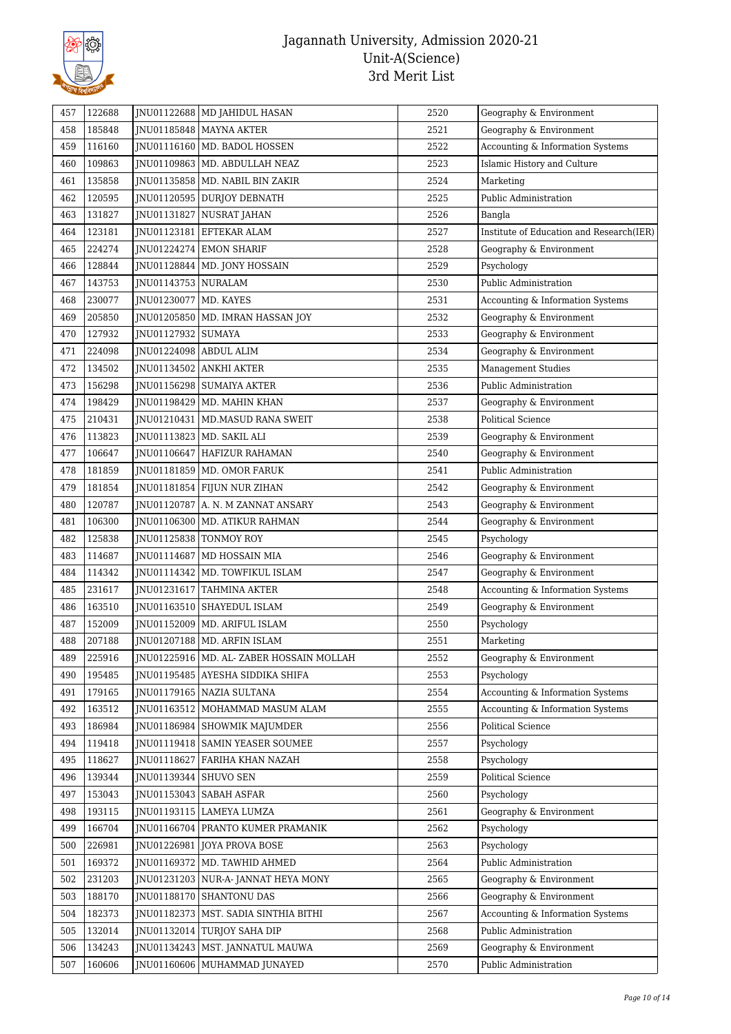

| 457 | 122688 |                          | JNU01122688   MD JAHIDUL HASAN            | 2520 | Geography & Environment                  |
|-----|--------|--------------------------|-------------------------------------------|------|------------------------------------------|
| 458 | 185848 |                          | JNU01185848   MAYNA AKTER                 | 2521 | Geography & Environment                  |
| 459 | 116160 |                          | JNU01116160   MD. BADOL HOSSEN            | 2522 | Accounting & Information Systems         |
| 460 | 109863 |                          | JNU01109863   MD. ABDULLAH NEAZ           | 2523 | Islamic History and Culture              |
| 461 | 135858 |                          | JNU01135858   MD. NABIL BIN ZAKIR         | 2524 | Marketing                                |
| 462 | 120595 |                          | JNU01120595 DURJOY DEBNATH                | 2525 | Public Administration                    |
| 463 | 131827 |                          | JNU01131827 NUSRAT JAHAN                  | 2526 | Bangla                                   |
| 464 | 123181 | JNU01123181              | EFTEKAR ALAM                              | 2527 | Institute of Education and Research(IER) |
| 465 | 224274 |                          | JNU01224274 EMON SHARIF                   | 2528 | Geography & Environment                  |
| 466 | 128844 | JNU01128844              | MD. JONY HOSSAIN                          | 2529 | Psychology                               |
| 467 | 143753 | JNU01143753 NURALAM      |                                           | 2530 | Public Administration                    |
| 468 | 230077 | JNU01230077   MD. KAYES  |                                           | 2531 | Accounting & Information Systems         |
| 469 | 205850 |                          | JNU01205850   MD. IMRAN HASSAN JOY        | 2532 | Geography & Environment                  |
| 470 | 127932 | JNU01127932              | <b>SUMAYA</b>                             | 2533 | Geography & Environment                  |
| 471 | 224098 | JNU01224098   ABDUL ALIM |                                           | 2534 | Geography & Environment                  |
| 472 | 134502 | JNU01134502              | ANKHI AKTER                               | 2535 | <b>Management Studies</b>                |
| 473 | 156298 | JNU01156298              | <b>SUMAIYA AKTER</b>                      | 2536 | Public Administration                    |
| 474 | 198429 |                          | JNU01198429   MD. MAHIN KHAN              | 2537 | Geography & Environment                  |
| 475 | 210431 |                          | JNU01210431   MD.MASUD RANA SWEIT         | 2538 | <b>Political Science</b>                 |
| 476 | 113823 |                          | JNU01113823   MD. SAKIL ALI               | 2539 | Geography & Environment                  |
| 477 | 106647 |                          | INU01106647 HAFIZUR RAHAMAN               | 2540 | Geography & Environment                  |
| 478 | 181859 |                          | JNU01181859   MD. OMOR FARUK              | 2541 | Public Administration                    |
| 479 | 181854 |                          | JNU01181854 FIJUN NUR ZIHAN               | 2542 | Geography & Environment                  |
| 480 | 120787 |                          | JNU01120787   A. N. M ZANNAT ANSARY       | 2543 | Geography & Environment                  |
| 481 | 106300 |                          | JNU01106300   MD. ATIKUR RAHMAN           | 2544 | Geography & Environment                  |
| 482 | 125838 |                          | JNU01125838   TONMOY ROY                  | 2545 | Psychology                               |
| 483 | 114687 |                          | JNU01114687   MD HOSSAIN MIA              | 2546 | Geography & Environment                  |
| 484 | 114342 |                          | JNU01114342   MD. TOWFIKUL ISLAM          | 2547 | Geography & Environment                  |
| 485 | 231617 | JNU01231617              | TAHMINA AKTER                             | 2548 | Accounting & Information Systems         |
| 486 | 163510 | JNU01163510              | SHAYEDUL ISLAM                            | 2549 | Geography & Environment                  |
| 487 | 152009 |                          | JNU01152009   MD. ARIFUL ISLAM            | 2550 | Psychology                               |
| 488 | 207188 |                          | JNU01207188   MD. ARFIN ISLAM             | 2551 | Marketing                                |
| 489 | 225916 |                          | JNU01225916   MD. AL-ZABER HOSSAIN MOLLAH | 2552 | Geography & Environment                  |
| 490 | 195485 |                          | JNU01195485 AYESHA SIDDIKA SHIFA          | 2553 | Psychology                               |
| 491 | 179165 |                          | JNU01179165   NAZIA SULTANA               | 2554 | Accounting & Information Systems         |
| 492 | 163512 |                          | JNU01163512   MOHAMMAD MASUM ALAM         | 2555 | Accounting & Information Systems         |
| 493 | 186984 |                          | JNU01186984   SHOWMIK MAJUMDER            | 2556 | Political Science                        |
| 494 | 119418 |                          | JNU01119418   SAMIN YEASER SOUMEE         | 2557 | Psychology                               |
| 495 | 118627 |                          | JNU01118627   FARIHA KHAN NAZAH           | 2558 | Psychology                               |
| 496 | 139344 | JNU01139344 SHUVO SEN    |                                           | 2559 | Political Science                        |
| 497 | 153043 |                          | JNU01153043   SABAH ASFAR                 | 2560 | Psychology                               |
| 498 | 193115 |                          | JNU01193115   LAMEYA LUMZA                | 2561 | Geography & Environment                  |
| 499 | 166704 |                          | JNU01166704   PRANTO KUMER PRAMANIK       | 2562 | Psychology                               |
| 500 | 226981 |                          | JNU01226981   JOYA PROVA BOSE             | 2563 | Psychology                               |
| 501 | 169372 |                          | JNU01169372   MD. TAWHID AHMED            | 2564 | Public Administration                    |
| 502 | 231203 |                          | JNU01231203   NUR-A- JANNAT HEYA MONY     | 2565 | Geography & Environment                  |
| 503 | 188170 |                          | JNU01188170 SHANTONU DAS                  | 2566 | Geography & Environment                  |
| 504 | 182373 | JNU01182373              | MST. SADIA SINTHIA BITHI                  | 2567 | Accounting & Information Systems         |
| 505 | 132014 | JNU01132014              | TURJOY SAHA DIP                           | 2568 | Public Administration                    |
| 506 | 134243 |                          | JNU01134243   MST. JANNATUL MAUWA         | 2569 | Geography & Environment                  |
| 507 | 160606 | JNU01160606              | MUHAMMAD JUNAYED                          | 2570 | Public Administration                    |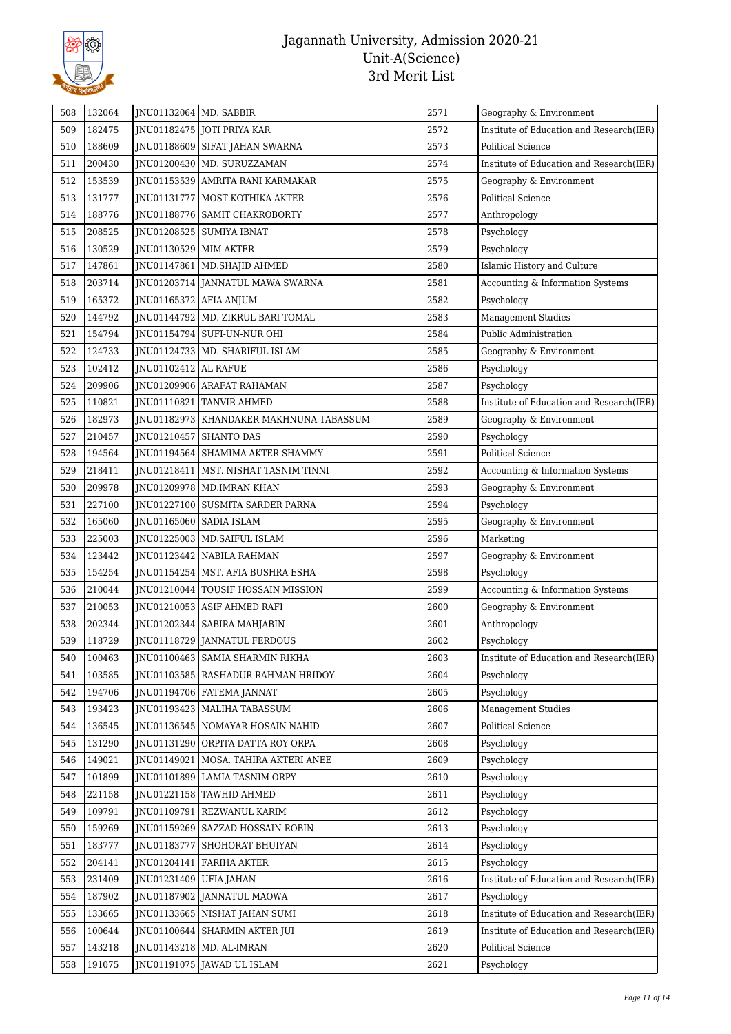

| 508 | 132064 | JNU01132064   MD. SABBIR |                                           | 2571 | Geography & Environment                  |
|-----|--------|--------------------------|-------------------------------------------|------|------------------------------------------|
| 509 | 182475 |                          | JNU01182475 JOTI PRIYA KAR                | 2572 | Institute of Education and Research(IER) |
| 510 | 188609 |                          | JNU01188609 SIFAT JAHAN SWARNA            | 2573 | <b>Political Science</b>                 |
| 511 | 200430 | JNU01200430              | MD. SURUZZAMAN                            | 2574 | Institute of Education and Research(IER) |
| 512 | 153539 |                          | INU01153539 AMRITA RANI KARMAKAR          | 2575 | Geography & Environment                  |
| 513 | 131777 |                          | JNU01131777   MOST.KOTHIKA AKTER          | 2576 | <b>Political Science</b>                 |
| 514 | 188776 |                          | JNU01188776   SAMIT CHAKROBORTY           | 2577 | Anthropology                             |
| 515 | 208525 |                          | JNU01208525   SUMIYA IBNAT                | 2578 | Psychology                               |
| 516 | 130529 | JNU01130529   MIM AKTER  |                                           | 2579 | Psychology                               |
| 517 | 147861 | JNU01147861              | MD.SHAJID AHMED                           | 2580 | Islamic History and Culture              |
| 518 | 203714 |                          | JNU01203714 JANNATUL MAWA SWARNA          | 2581 | Accounting & Information Systems         |
| 519 | 165372 | JNU01165372 AFIA ANJUM   |                                           | 2582 | Psychology                               |
| 520 | 144792 | JNU01144792              | MD. ZIKRUL BARI TOMAL                     | 2583 | <b>Management Studies</b>                |
| 521 | 154794 |                          | JNU01154794 SUFI-UN-NUR OHI               | 2584 | Public Administration                    |
| 522 | 124733 |                          | JNU01124733   MD. SHARIFUL ISLAM          | 2585 | Geography & Environment                  |
| 523 | 102412 | JNU01102412   AL RAFUE   |                                           | 2586 | Psychology                               |
| 524 | 209906 |                          | JNU01209906 ARAFAT RAHAMAN                | 2587 | Psychology                               |
| 525 | 110821 |                          | JNU01110821 TANVIR AHMED                  | 2588 | Institute of Education and Research(IER) |
| 526 | 182973 |                          | JNU01182973   KHANDAKER MAKHNUNA TABASSUM | 2589 | Geography & Environment                  |
| 527 | 210457 |                          | JNU01210457 SHANTO DAS                    | 2590 | Psychology                               |
| 528 | 194564 |                          | JNU01194564 SHAMIMA AKTER SHAMMY          | 2591 | <b>Political Science</b>                 |
| 529 | 218411 |                          | JNU01218411   MST. NISHAT TASNIM TINNI    | 2592 | Accounting & Information Systems         |
| 530 | 209978 |                          | JNU01209978   MD.IMRAN KHAN               | 2593 | Geography & Environment                  |
| 531 | 227100 |                          | JNU01227100 SUSMITA SARDER PARNA          | 2594 | Psychology                               |
| 532 | 165060 |                          | JNU01165060   SADIA ISLAM                 | 2595 | Geography & Environment                  |
| 533 | 225003 |                          | JNU01225003   MD.SAIFUL ISLAM             | 2596 | Marketing                                |
| 534 | 123442 | JNU01123442              | NABILA RAHMAN                             | 2597 | Geography & Environment                  |
| 535 | 154254 |                          | JNU01154254   MST. AFIA BUSHRA ESHA       | 2598 | Psychology                               |
| 536 | 210044 | JNU01210044              | TOUSIF HOSSAIN MISSION                    | 2599 | Accounting & Information Systems         |
| 537 | 210053 |                          | JNU01210053   ASIF AHMED RAFI             | 2600 | Geography & Environment                  |
| 538 | 202344 |                          | JNU01202344   SABIRA MAHJABIN             | 2601 | Anthropology                             |
| 539 | 118729 |                          | JNU01118729 JANNATUL FERDOUS              | 2602 | Psychology                               |
| 540 | 100463 |                          | JNU01100463   SAMIA SHARMIN RIKHA         | 2603 | Institute of Education and Research(IER) |
| 541 | 103585 |                          | JNU01103585   RASHADUR RAHMAN HRIDOY      | 2604 | Psychology                               |
| 542 | 194706 |                          | JNU01194706   FATEMA JANNAT               | 2605 | Psychology                               |
| 543 | 193423 |                          | JNU01193423   MALIHA TABASSUM             | 2606 | <b>Management Studies</b>                |
| 544 | 136545 |                          | JNU01136545   NOMAYAR HOSAIN NAHID        | 2607 | Political Science                        |
| 545 | 131290 |                          | JNU01131290 ORPITA DATTA ROY ORPA         | 2608 | Psychology                               |
| 546 | 149021 | JNU01149021              | MOSA. TAHIRA AKTERI ANEE                  | 2609 | Psychology                               |
| 547 | 101899 | JNU01101899              | <b>LAMIA TASNIM ORPY</b>                  | 2610 | Psychology                               |
| 548 | 221158 | JNU01221158              | TAWHID AHMED                              | 2611 | Psychology                               |
| 549 | 109791 | JNU01109791              | REZWANUL KARIM                            | 2612 | Psychology                               |
| 550 | 159269 | JNU01159269              | SAZZAD HOSSAIN ROBIN                      | 2613 | Psychology                               |
| 551 | 183777 | JNU01183777              | SHOHORAT BHUIYAN                          | 2614 | Psychology                               |
| 552 | 204141 | JNU01204141              | FARIHA AKTER                              | 2615 | Psychology                               |
| 553 | 231409 | JNU01231409              | UFIA JAHAN                                | 2616 | Institute of Education and Research(IER) |
| 554 | 187902 | JNU01187902              | <b>JANNATUL MAOWA</b>                     | 2617 | Psychology                               |
| 555 | 133665 | JNU01133665              | NISHAT JAHAN SUMI                         | 2618 | Institute of Education and Research(IER) |
| 556 | 100644 | JNU01100644              | <b>SHARMIN AKTER JUI</b>                  | 2619 | Institute of Education and Research(IER) |
| 557 | 143218 |                          | JNU01143218   MD. AL-IMRAN                | 2620 | Political Science                        |
| 558 | 191075 |                          | JNU01191075 JAWAD UL ISLAM                | 2621 | Psychology                               |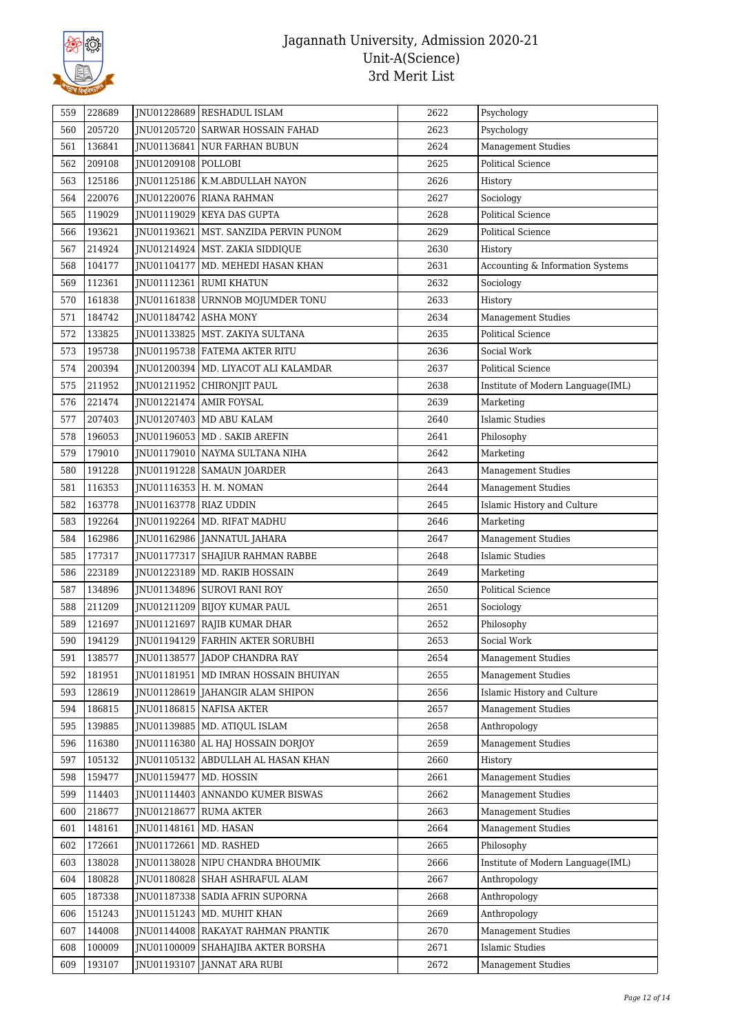

| 559 | 228689 |                        | JNU01228689 RESHADUL ISLAM              | 2622 | Psychology                        |
|-----|--------|------------------------|-----------------------------------------|------|-----------------------------------|
| 560 | 205720 |                        | JNU01205720 SARWAR HOSSAIN FAHAD        | 2623 | Psychology                        |
| 561 | 136841 |                        | JNU01136841 NUR FARHAN BUBUN            | 2624 | Management Studies                |
| 562 | 209108 | JNU01209108   POLLOBI  |                                         | 2625 | <b>Political Science</b>          |
| 563 | 125186 |                        | JNU01125186   K.M.ABDULLAH NAYON        | 2626 | History                           |
| 564 | 220076 |                        | JNU01220076 RIANA RAHMAN                | 2627 | Sociology                         |
| 565 | 119029 |                        | JNU01119029 KEYA DAS GUPTA              | 2628 | <b>Political Science</b>          |
| 566 | 193621 |                        | JNU01193621   MST. SANZIDA PERVIN PUNOM | 2629 | Political Science                 |
| 567 | 214924 |                        | JNU01214924   MST. ZAKIA SIDDIQUE       | 2630 | History                           |
| 568 | 104177 |                        | JNU01104177   MD. MEHEDI HASAN KHAN     | 2631 | Accounting & Information Systems  |
| 569 | 112361 |                        | JNU01112361 RUMI KHATUN                 | 2632 | Sociology                         |
| 570 | 161838 |                        | JNU01161838   URNNOB MOJUMDER TONU      | 2633 | History                           |
| 571 | 184742 | JNU01184742 ASHA MONY  |                                         | 2634 | <b>Management Studies</b>         |
| 572 | 133825 |                        | JNU01133825   MST. ZAKIYA SULTANA       | 2635 | <b>Political Science</b>          |
| 573 | 195738 |                        | JNU01195738   FATEMA AKTER RITU         | 2636 | Social Work                       |
| 574 | 200394 |                        | JNU01200394   MD. LIYACOT ALI KALAMDAR  | 2637 | <b>Political Science</b>          |
| 575 | 211952 | JNU01211952            | CHIRONJIT PAUL                          | 2638 | Institute of Modern Language(IML) |
| 576 | 221474 |                        | JNU01221474 AMIR FOYSAL                 | 2639 | Marketing                         |
| 577 | 207403 |                        | JNU01207403   MD ABU KALAM              | 2640 | <b>Islamic Studies</b>            |
| 578 | 196053 |                        | JNU01196053   MD. SAKIB AREFIN          | 2641 | Philosophy                        |
| 579 | 179010 |                        | JNU01179010 NAYMA SULTANA NIHA          | 2642 | Marketing                         |
| 580 | 191228 |                        | JNU01191228   SAMAUN JOARDER            | 2643 | <b>Management Studies</b>         |
| 581 | 116353 |                        | JNU01116353   H. M. NOMAN               | 2644 | <b>Management Studies</b>         |
| 582 | 163778 | JNU01163778 RIAZ UDDIN |                                         | 2645 | Islamic History and Culture       |
| 583 | 192264 |                        | JNU01192264   MD. RIFAT MADHU           | 2646 | Marketing                         |
| 584 | 162986 |                        | JNU01162986   JANNATUL JAHARA           | 2647 | <b>Management Studies</b>         |
| 585 | 177317 |                        | JNU01177317 SHAJIUR RAHMAN RABBE        | 2648 | <b>Islamic Studies</b>            |
| 586 | 223189 |                        | JNU01223189   MD. RAKIB HOSSAIN         | 2649 | Marketing                         |
| 587 | 134896 |                        | JNU01134896 SUROVI RANI ROY             | 2650 | <b>Political Science</b>          |
| 588 | 211209 |                        | JNU01211209 BIJOY KUMAR PAUL            | 2651 | Sociology                         |
| 589 | 121697 |                        | JNU01121697 RAJIB KUMAR DHAR            | 2652 | Philosophy                        |
| 590 | 194129 |                        | JNU01194129 FARHIN AKTER SORUBHI        | 2653 | Social Work                       |
| 591 | 138577 |                        | JNU01138577 JADOP CHANDRA RAY           | 2654 | <b>Management Studies</b>         |
| 592 | 181951 |                        | JNU01181951   MD IMRAN HOSSAIN BHUIYAN  | 2655 | <b>Management Studies</b>         |
| 593 | 128619 |                        | JNU01128619 JAHANGIR ALAM SHIPON        | 2656 | Islamic History and Culture       |
| 594 | 186815 |                        | JNU01186815 NAFISA AKTER                | 2657 | <b>Management Studies</b>         |
| 595 | 139885 |                        | JNU01139885   MD. ATIQUL ISLAM          | 2658 | Anthropology                      |
| 596 | 116380 | JNU01116380            | AL HAJ HOSSAIN DORJOY                   | 2659 | <b>Management Studies</b>         |
| 597 | 105132 | JNU01105132            | ABDULLAH AL HASAN KHAN                  | 2660 | History                           |
| 598 | 159477 | JNU01159477            | MD. HOSSIN                              | 2661 | <b>Management Studies</b>         |
| 599 | 114403 | JNU01114403            | ANNANDO KUMER BISWAS                    | 2662 | <b>Management Studies</b>         |
| 600 | 218677 | JNU01218677            | <b>RUMA AKTER</b>                       | 2663 | Management Studies                |
| 601 | 148161 | JNU01148161            | MD. HASAN                               | 2664 | <b>Management Studies</b>         |
| 602 | 172661 | JNU01172661            | MD. RASHED                              | 2665 | Philosophy                        |
| 603 | 138028 | JNU01138028            | NIPU CHANDRA BHOUMIK                    | 2666 | Institute of Modern Language(IML) |
| 604 | 180828 | JNU01180828            | SHAH ASHRAFUL ALAM                      | 2667 | Anthropology                      |
| 605 | 187338 |                        | JNU01187338   SADIA AFRIN SUPORNA       | 2668 | Anthropology                      |
| 606 | 151243 | JNU01151243            | MD. MUHIT KHAN                          | 2669 | Anthropology                      |
| 607 | 144008 |                        | JNU01144008   RAKAYAT RAHMAN PRANTIK    | 2670 | <b>Management Studies</b>         |
| 608 | 100009 | JNU01100009            | SHAHAJIBA AKTER BORSHA                  | 2671 | <b>Islamic Studies</b>            |
| 609 | 193107 | JNU01193107            | <b>JANNAT ARA RUBI</b>                  | 2672 | <b>Management Studies</b>         |
|     |        |                        |                                         |      |                                   |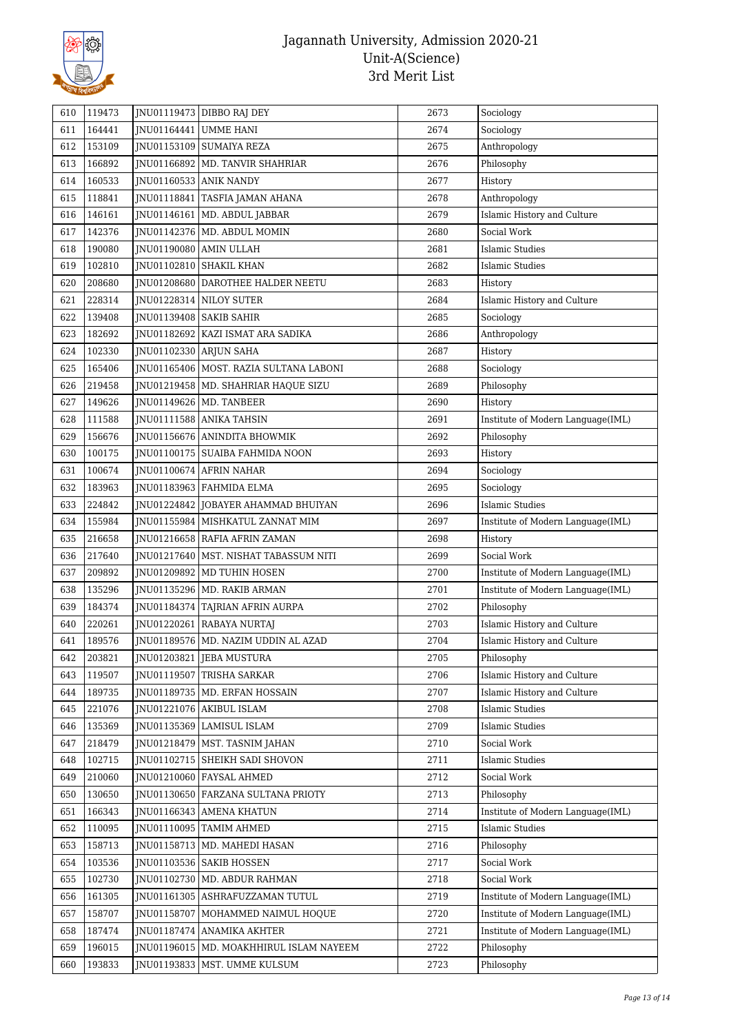

| 610 | 119473 |                           | JNU01119473 DIBBO RAJ DEY                 | 2673 | Sociology                         |
|-----|--------|---------------------------|-------------------------------------------|------|-----------------------------------|
| 611 | 164441 | JNU01164441 UMME HANI     |                                           | 2674 | Sociology                         |
| 612 | 153109 |                           | JNU01153109   SUMAIYA REZA                | 2675 | Anthropology                      |
| 613 | 166892 |                           | JNU01166892   MD. TANVIR SHAHRIAR         | 2676 | Philosophy                        |
| 614 | 160533 | JNU01160533 ANIK NANDY    |                                           | 2677 | History                           |
| 615 | 118841 |                           | JNU01118841   TASFIA JAMAN AHANA          | 2678 | Anthropology                      |
| 616 | 146161 |                           | JNU01146161   MD. ABDUL JABBAR            | 2679 | Islamic History and Culture       |
| 617 | 142376 |                           | JNU01142376   MD. ABDUL MOMIN             | 2680 | Social Work                       |
| 618 | 190080 | JNU01190080 AMIN ULLAH    |                                           | 2681 | Islamic Studies                   |
| 619 | 102810 |                           | JNU01102810 SHAKIL KHAN                   | 2682 | Islamic Studies                   |
| 620 | 208680 |                           | JNU01208680 DAROTHEE HALDER NEETU         | 2683 | History                           |
| 621 | 228314 |                           | JNU01228314 NILOY SUTER                   | 2684 | Islamic History and Culture       |
| 622 | 139408 | JNU01139408   SAKIB SAHIR |                                           | 2685 | Sociology                         |
| 623 | 182692 |                           | JNU01182692   KAZI ISMAT ARA SADIKA       | 2686 | Anthropology                      |
| 624 | 102330 | JNU01102330 ARJUN SAHA    |                                           | 2687 | History                           |
| 625 | 165406 |                           | JNU01165406   MOST. RAZIA SULTANA LABONI  | 2688 | Sociology                         |
| 626 | 219458 |                           | JNU01219458   MD. SHAHRIAR HAQUE SIZU     | 2689 | Philosophy                        |
| 627 | 149626 |                           | JNU01149626   MD. TANBEER                 | 2690 | History                           |
| 628 | 111588 |                           | JNU01111588 ANIKA TAHSIN                  | 2691 | Institute of Modern Language(IML) |
| 629 | 156676 |                           | JNU01156676 ANINDITA BHOWMIK              | 2692 | Philosophy                        |
| 630 | 100175 |                           | INU01100175 SUAIBA FAHMIDA NOON           | 2693 | History                           |
| 631 | 100674 |                           | JNU01100674 AFRIN NAHAR                   | 2694 | Sociology                         |
| 632 | 183963 |                           | JNU01183963   FAHMIDA ELMA                | 2695 | Sociology                         |
| 633 | 224842 |                           | JNU01224842 JOBAYER AHAMMAD BHUIYAN       | 2696 | <b>Islamic Studies</b>            |
| 634 | 155984 |                           | JNU01155984   MISHKATUL ZANNAT MIM        | 2697 | Institute of Modern Language(IML) |
| 635 | 216658 |                           | JNU01216658   RAFIA AFRIN ZAMAN           | 2698 | History                           |
| 636 | 217640 |                           | JNU01217640   MST. NISHAT TABASSUM NITI   | 2699 | Social Work                       |
| 637 | 209892 |                           | JNU01209892   MD TUHIN HOSEN              | 2700 | Institute of Modern Language(IML) |
| 638 | 135296 |                           | JNU01135296   MD. RAKIB ARMAN             | 2701 | Institute of Modern Language(IML) |
| 639 | 184374 |                           | JNU01184374 TAJRIAN AFRIN AURPA           | 2702 | Philosophy                        |
| 640 | 220261 |                           | JNU01220261 RABAYA NURTAJ                 | 2703 | Islamic History and Culture       |
| 641 | 189576 |                           | JNU01189576   MD. NAZIM UDDIN AL AZAD     | 2704 | Islamic History and Culture       |
| 642 | 203821 |                           | JNU01203821 JEBA MUSTURA                  | 2705 | Philosophy                        |
| 643 | 119507 |                           | JNU01119507 TRISHA SARKAR                 | 2706 | Islamic History and Culture       |
| 644 | 189735 |                           | JNU01189735   MD. ERFAN HOSSAIN           | 2707 | Islamic History and Culture       |
| 645 | 221076 |                           | JNU01221076   AKIBUL ISLAM                | 2708 | <b>Islamic Studies</b>            |
| 646 | 135369 |                           | JNU01135369 LAMISUL ISLAM                 | 2709 | Islamic Studies                   |
| 647 | 218479 |                           | JNU01218479   MST. TASNIM JAHAN           | 2710 | Social Work                       |
| 648 | 102715 |                           | JNU01102715 SHEIKH SADI SHOVON            | 2711 | Islamic Studies                   |
| 649 | 210060 |                           | JNU01210060 FAYSAL AHMED                  | 2712 | Social Work                       |
| 650 | 130650 |                           | INU01130650 FARZANA SULTANA PRIOTY        | 2713 | Philosophy                        |
| 651 | 166343 |                           | JNU01166343 AMENA KHATUN                  | 2714 | Institute of Modern Language(IML) |
| 652 | 110095 |                           | JNU01110095   TAMIM AHMED                 | 2715 | Islamic Studies                   |
| 653 | 158713 |                           | JNU01158713   MD. MAHEDI HASAN            | 2716 | Philosophy                        |
| 654 | 103536 |                           | JNU01103536   SAKIB HOSSEN                | 2717 | Social Work                       |
| 655 | 102730 | JNU01102730               | MD. ABDUR RAHMAN                          | 2718 | Social Work                       |
| 656 | 161305 |                           | JNU01161305 ASHRAFUZZAMAN TUTUL           | 2719 | Institute of Modern Language(IML) |
| 657 | 158707 | JNU01158707               | MOHAMMED NAIMUL HOQUE                     | 2720 | Institute of Modern Language(IML) |
| 658 | 187474 |                           | JNU01187474 ANAMIKA AKHTER                | 2721 | Institute of Modern Language(IML) |
| 659 | 196015 |                           | JNU01196015   MD. MOAKHHIRUL ISLAM NAYEEM | 2722 | Philosophy                        |
| 660 | 193833 |                           | JNU01193833   MST. UMME KULSUM            | 2723 | Philosophy                        |